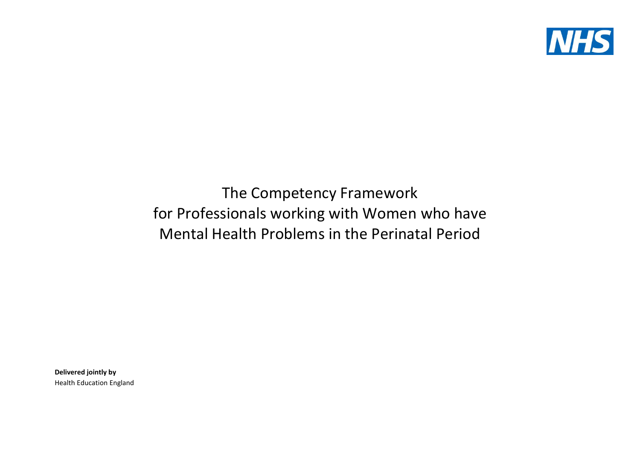

# The Competency Framework for Professionals working with Women who have Mental Health Problems in the Perinatal Period

**Delivered jointly by** Health Education England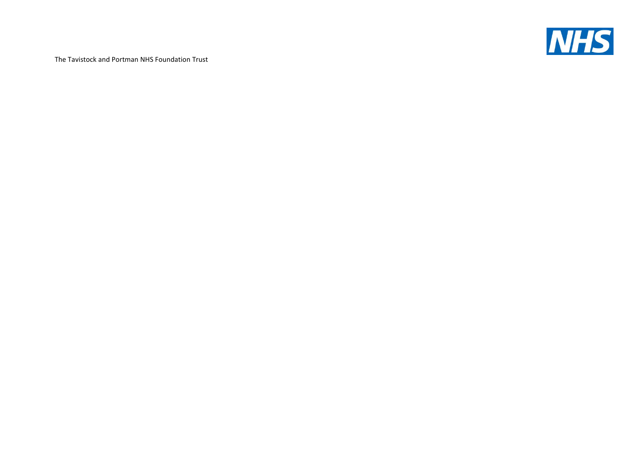

The Tavistock and Portman NHS Foundation Trust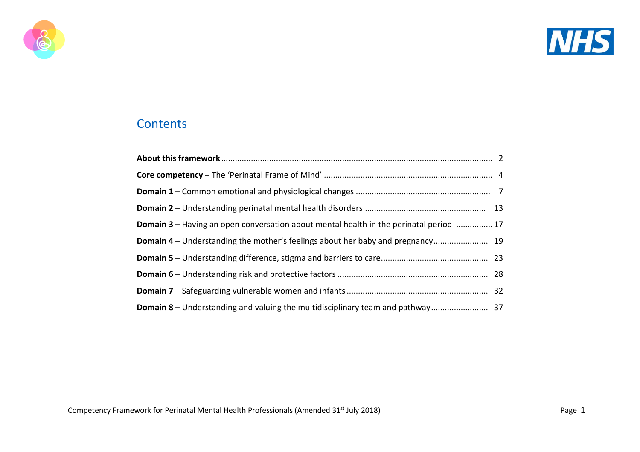



#### **Contents**

| Domain 3 - Having an open conversation about mental health in the perinatal period  17 |  |
|----------------------------------------------------------------------------------------|--|
|                                                                                        |  |
|                                                                                        |  |
|                                                                                        |  |
|                                                                                        |  |
| Domain 8 - Understanding and valuing the multidisciplinary team and pathway            |  |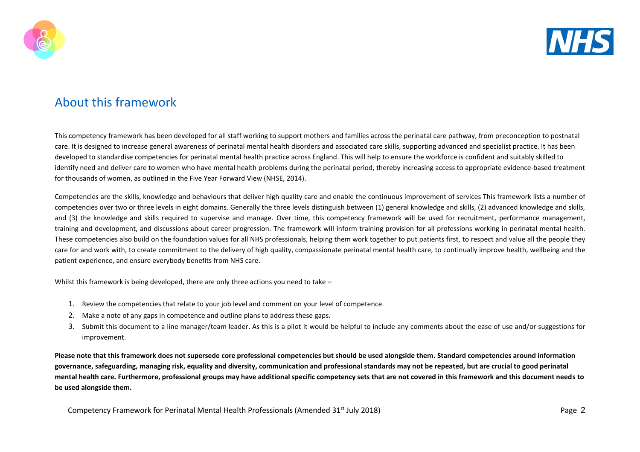



#### About this framework

This competency framework has been developed for all staff working to support mothers and families across the perinatal care pathway, from preconception to postnatal care. It is designed to increase general awareness of perinatal mental health disorders and associated care skills, supporting advanced and specialist practice. It has been developed to standardise competencies for perinatal mental health practice across England. This will help to ensure the workforce is confident and suitably skilled to identify need and deliver care to women who have mental health problems during the perinatal period, thereby increasing access to appropriate evidence-based treatment for thousands of women, as outlined in the Five Year Forward View (NHSE, 2014).

Competencies are the skills, knowledge and behaviours that deliver high quality care and enable the continuous improvement of services This framework lists a number of competencies over two or three levels in eight domains. Generally the three levels distinguish between (1) general knowledge and skills, (2) advanced knowledge and skills, and (3) the knowledge and skills required to supervise and manage. Over time, this competency framework will be used for recruitment, performance management, training and development, and discussions about career progression. The framework will inform training provision for all professions working in perinatal mental health. These competencies also build on the foundation values for all NHS professionals, helping them work together to put patients first, to respect and value all the people they care for and work with, to create commitment to the delivery of high quality, compassionate perinatal mental health care, to continually improve health, wellbeing and the patient experience, and ensure everybody benefits from NHS care.

Whilst this framework is being developed, there are only three actions you need to take –

- 1. Review the competencies that relate to your job level and comment on your level of competence.
- 2. Make a note of any gaps in competence and outline plans to address these gaps.
- 3. Submit this document to a line manager/team leader. As this is a pilot it would be helpful to include any comments about the ease of use and/or suggestions for improvement.

**Please note that this framework does not supersede core professional competencies but should be used alongside them. Standard competencies around information governance, safeguarding, managing risk, equality and diversity, communication and professional standards may not be repeated, but are crucial to good perinatal mental health care. Furthermore, professional groups may have additional specific competency sets that are not covered in this framework and this document needs to be used alongside them.**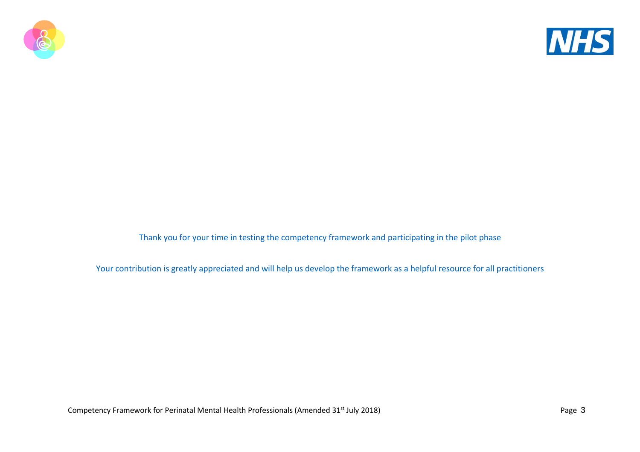



Thank you for your time in testing the competency framework and participating in the pilot phase

Your contribution is greatly appreciated and will help us develop the framework as a helpful resource for all practitioners

Competency Framework for Perinatal Mental Health Professionals (Amended 31<sup>st</sup> July 2018) Page 3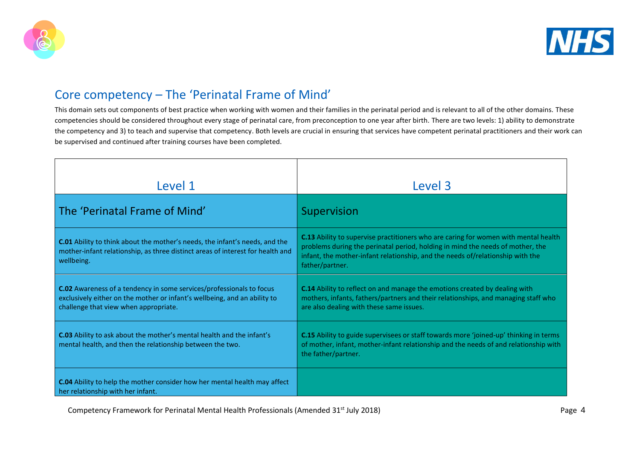



# Core competency – The 'Perinatal Frame of Mind'

This domain sets out components of best practice when working with women and their families in the perinatal period and is relevant to all of the other domains. These competencies should be considered throughout every stage of perinatal care, from preconception to one year after birth. There are two levels: 1) ability to demonstrate the competency and 3) to teach and supervise that competency. Both levels are crucial in ensuring that services have competent perinatal practitioners and their work can be supervised and continued after training courses have been completed.

| Level 1                                                                                                                                                                                           | Level 3                                                                                                                                                                                                                                                                           |
|---------------------------------------------------------------------------------------------------------------------------------------------------------------------------------------------------|-----------------------------------------------------------------------------------------------------------------------------------------------------------------------------------------------------------------------------------------------------------------------------------|
| The 'Perinatal Frame of Mind'                                                                                                                                                                     | Supervision                                                                                                                                                                                                                                                                       |
| <b>C.01</b> Ability to think about the mother's needs, the infant's needs, and the<br>mother-infant relationship, as three distinct areas of interest for health and<br>wellbeing.                | <b>C.13</b> Ability to supervise practitioners who are caring for women with mental health<br>problems during the perinatal period, holding in mind the needs of mother, the<br>infant, the mother-infant relationship, and the needs of/relationship with the<br>father/partner. |
| <b>C.02</b> Awareness of a tendency in some services/professionals to focus<br>exclusively either on the mother or infant's wellbeing, and an ability to<br>challenge that view when appropriate. | <b>C.14</b> Ability to reflect on and manage the emotions created by dealing with<br>mothers, infants, fathers/partners and their relationships, and managing staff who<br>are also dealing with these same issues.                                                               |
| <b>C.03</b> Ability to ask about the mother's mental health and the infant's<br>mental health, and then the relationship between the two.                                                         | C.15 Ability to guide supervisees or staff towards more 'joined-up' thinking in terms<br>of mother, infant, mother-infant relationship and the needs of and relationship with<br>the father/partner.                                                                              |
| <b>C.04</b> Ability to help the mother consider how her mental health may affect<br>her relationship with her infant.                                                                             |                                                                                                                                                                                                                                                                                   |

Competency Framework for Perinatal Mental Health Professionals (Amended 31<sup>st</sup> July 2018) Page 4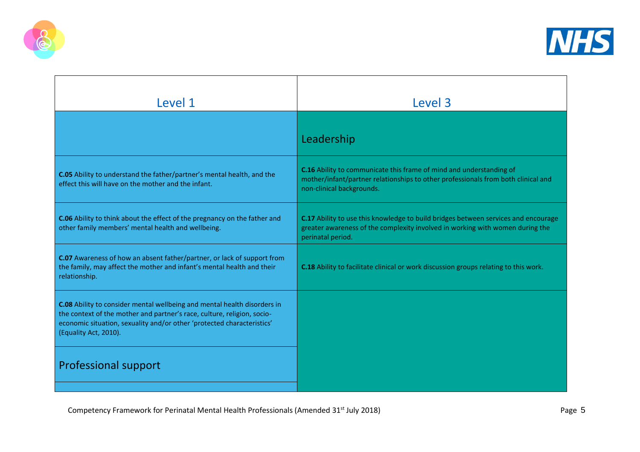



| Level 1                                                                                                                                                                                                                                                       | Level 3                                                                                                                                                                                  |
|---------------------------------------------------------------------------------------------------------------------------------------------------------------------------------------------------------------------------------------------------------------|------------------------------------------------------------------------------------------------------------------------------------------------------------------------------------------|
|                                                                                                                                                                                                                                                               | Leadership                                                                                                                                                                               |
| C.05 Ability to understand the father/partner's mental health, and the<br>effect this will have on the mother and the infant.                                                                                                                                 | C.16 Ability to communicate this frame of mind and understanding of<br>mother/infant/partner relationships to other professionals from both clinical and<br>non-clinical backgrounds.    |
| C.06 Ability to think about the effect of the pregnancy on the father and<br>other family members' mental health and wellbeing.                                                                                                                               | C.17 Ability to use this knowledge to build bridges between services and encourage<br>greater awareness of the complexity involved in working with women during the<br>perinatal period. |
| <b>C.07</b> Awareness of how an absent father/partner, or lack of support from<br>the family, may affect the mother and infant's mental health and their<br>relationship.                                                                                     | <b>C.18</b> Ability to facilitate clinical or work discussion groups relating to this work.                                                                                              |
| <b>C.08</b> Ability to consider mental wellbeing and mental health disorders in<br>the context of the mother and partner's race, culture, religion, socio-<br>economic situation, sexuality and/or other 'protected characteristics'<br>(Equality Act, 2010). |                                                                                                                                                                                          |
| <b>Professional support</b>                                                                                                                                                                                                                                   |                                                                                                                                                                                          |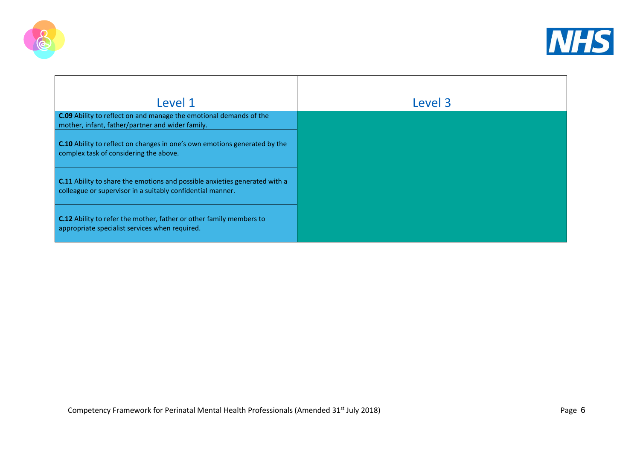



| Level 1                                                                                                                                         | Level 3 |
|-------------------------------------------------------------------------------------------------------------------------------------------------|---------|
| C.09 Ability to reflect on and manage the emotional demands of the<br>mother, infant, father/partner and wider family.                          |         |
| <b>C.10</b> Ability to reflect on changes in one's own emotions generated by the<br>complex task of considering the above.                      |         |
| <b>C.11</b> Ability to share the emotions and possible anxieties generated with a<br>colleague or supervisor in a suitably confidential manner. |         |
| <b>C.12</b> Ability to refer the mother, father or other family members to<br>appropriate specialist services when required.                    |         |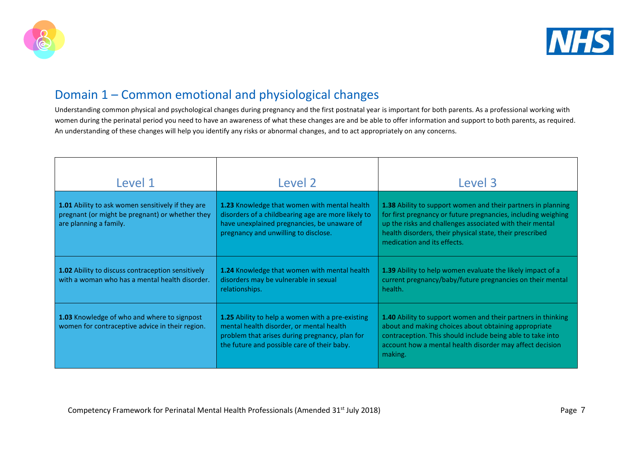



# Domain 1 – Common emotional and physiological changes

Understanding common physical and psychological changes during pregnancy and the first postnatal year is important for both parents. As a professional working with women during the perinatal period you need to have an awareness of what these changes are and be able to offer information and support to both parents, as required. An understanding of these changes will help you identify any risks or abnormal changes, and to act appropriately on any concerns.

| Level 1                                                                                                                        | Level 2                                                                                                                                                                                       | Level 3                                                                                                                                                                                                                                                                              |
|--------------------------------------------------------------------------------------------------------------------------------|-----------------------------------------------------------------------------------------------------------------------------------------------------------------------------------------------|--------------------------------------------------------------------------------------------------------------------------------------------------------------------------------------------------------------------------------------------------------------------------------------|
| 1.01 Ability to ask women sensitively if they are<br>pregnant (or might be pregnant) or whether they<br>are planning a family. | 1.23 Knowledge that women with mental health<br>disorders of a childbearing age are more likely to<br>have unexplained pregnancies, be unaware of<br>pregnancy and unwilling to disclose.     | 1.38 Ability to support women and their partners in planning<br>for first pregnancy or future pregnancies, including weighing<br>up the risks and challenges associated with their mental<br>health disorders, their physical state, their prescribed<br>medication and its effects. |
| 1.02 Ability to discuss contraception sensitively<br>with a woman who has a mental health disorder.                            | 1.24 Knowledge that women with mental health<br>disorders may be vulnerable in sexual<br>relationships.                                                                                       | 1.39 Ability to help women evaluate the likely impact of a<br>current pregnancy/baby/future pregnancies on their mental<br>health.                                                                                                                                                   |
| 1.03 Knowledge of who and where to signpost<br>women for contraceptive advice in their region.                                 | 1.25 Ability to help a women with a pre-existing<br>mental health disorder, or mental health<br>problem that arises during pregnancy, plan for<br>the future and possible care of their baby. | 1.40 Ability to support women and their partners in thinking<br>about and making choices about obtaining appropriate<br>contraception. This should include being able to take into<br>account how a mental health disorder may affect decision<br>making.                            |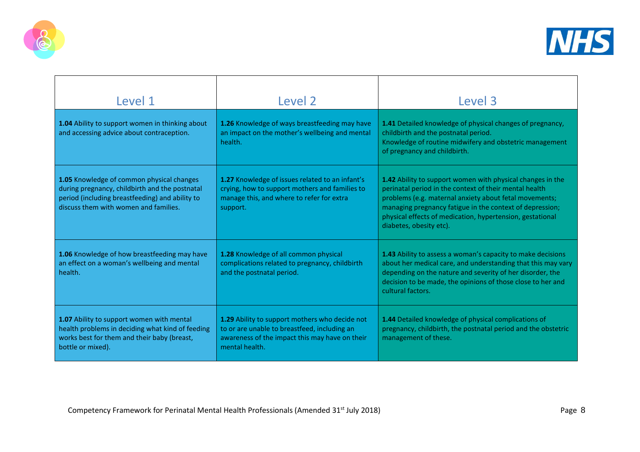



| Level 1                                                                                                                                                                                 | Level 2                                                                                                                                                            | Level 3                                                                                                                                                                                                                                                                                                                            |
|-----------------------------------------------------------------------------------------------------------------------------------------------------------------------------------------|--------------------------------------------------------------------------------------------------------------------------------------------------------------------|------------------------------------------------------------------------------------------------------------------------------------------------------------------------------------------------------------------------------------------------------------------------------------------------------------------------------------|
| 1.04 Ability to support women in thinking about<br>and accessing advice about contraception.                                                                                            | 1.26 Knowledge of ways breastfeeding may have<br>an impact on the mother's wellbeing and mental<br>health.                                                         | 1.41 Detailed knowledge of physical changes of pregnancy,<br>childbirth and the postnatal period.<br>Knowledge of routine midwifery and obstetric management<br>of pregnancy and childbirth.                                                                                                                                       |
| 1.05 Knowledge of common physical changes<br>during pregnancy, childbirth and the postnatal<br>period (including breastfeeding) and ability to<br>discuss them with women and families. | 1.27 Knowledge of issues related to an infant's<br>crying, how to support mothers and families to<br>manage this, and where to refer for extra<br>support.         | 1.42 Ability to support women with physical changes in the<br>perinatal period in the context of their mental health<br>problems (e.g. maternal anxiety about fetal movements;<br>managing pregnancy fatigue in the context of depression;<br>physical effects of medication, hypertension, gestational<br>diabetes, obesity etc). |
| 1.06 Knowledge of how breastfeeding may have<br>an effect on a woman's wellbeing and mental<br>health.                                                                                  | 1.28 Knowledge of all common physical<br>complications related to pregnancy, childbirth<br>and the postnatal period.                                               | 1.43 Ability to assess a woman's capacity to make decisions<br>about her medical care, and understanding that this may vary<br>depending on the nature and severity of her disorder, the<br>decision to be made, the opinions of those close to her and<br>cultural factors.                                                       |
| 1.07 Ability to support women with mental<br>health problems in deciding what kind of feeding<br>works best for them and their baby (breast,<br>bottle or mixed).                       | 1.29 Ability to support mothers who decide not<br>to or are unable to breastfeed, including an<br>awareness of the impact this may have on their<br>mental health. | 1.44 Detailed knowledge of physical complications of<br>pregnancy, childbirth, the postnatal period and the obstetric<br>management of these.                                                                                                                                                                                      |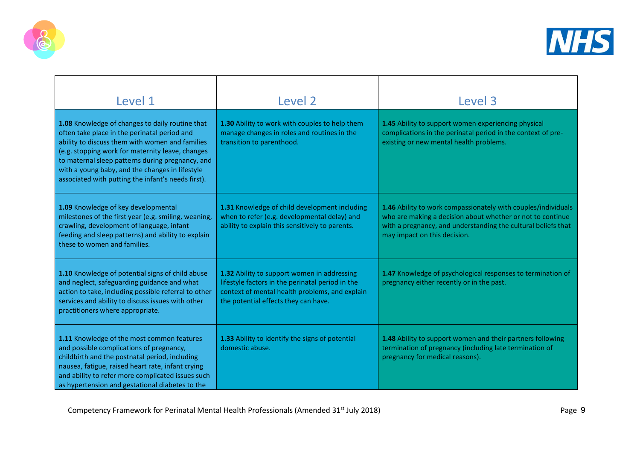



| Level 1                                                                                                                                                                                                                                                                                                                                                             | Level 2                                                                                                                                                                                   | Level 3                                                                                                                                                                                                                      |
|---------------------------------------------------------------------------------------------------------------------------------------------------------------------------------------------------------------------------------------------------------------------------------------------------------------------------------------------------------------------|-------------------------------------------------------------------------------------------------------------------------------------------------------------------------------------------|------------------------------------------------------------------------------------------------------------------------------------------------------------------------------------------------------------------------------|
| 1.08 Knowledge of changes to daily routine that<br>often take place in the perinatal period and<br>ability to discuss them with women and families<br>(e.g. stopping work for maternity leave, changes<br>to maternal sleep patterns during pregnancy, and<br>with a young baby, and the changes in lifestyle<br>associated with putting the infant's needs first). | 1.30 Ability to work with couples to help them<br>manage changes in roles and routines in the<br>transition to parenthood.                                                                | 1.45 Ability to support women experiencing physical<br>complications in the perinatal period in the context of pre-<br>existing or new mental health problems.                                                               |
| 1.09 Knowledge of key developmental<br>milestones of the first year (e.g. smiling, weaning,<br>crawling, development of language, infant<br>feeding and sleep patterns) and ability to explain<br>these to women and families.                                                                                                                                      | 1.31 Knowledge of child development including<br>when to refer (e.g. developmental delay) and<br>ability to explain this sensitively to parents.                                          | 1.46 Ability to work compassionately with couples/individuals<br>who are making a decision about whether or not to continue<br>with a pregnancy, and understanding the cultural beliefs that<br>may impact on this decision. |
| 1.10 Knowledge of potential signs of child abuse<br>and neglect, safeguarding guidance and what<br>action to take, including possible referral to other<br>services and ability to discuss issues with other<br>practitioners where appropriate.                                                                                                                    | 1.32 Ability to support women in addressing<br>lifestyle factors in the perinatal period in the<br>context of mental health problems, and explain<br>the potential effects they can have. | 1.47 Knowledge of psychological responses to termination of<br>pregnancy either recently or in the past.                                                                                                                     |
| 1.11 Knowledge of the most common features<br>and possible complications of pregnancy,<br>childbirth and the postnatal period, including<br>nausea, fatigue, raised heart rate, infant crying<br>and ability to refer more complicated issues such<br>as hypertension and gestational diabetes to the                                                               | 1.33 Ability to identify the signs of potential<br>domestic abuse.                                                                                                                        | 1.48 Ability to support women and their partners following<br>termination of pregnancy (including late termination of<br>pregnancy for medical reasons).                                                                     |

Competency Framework for Perinatal Mental Health Professionals (Amended 31<sup>st</sup> July 2018) **Page 9** Page 9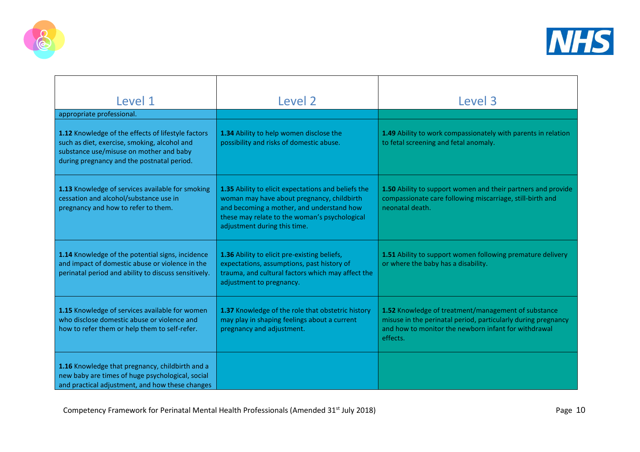



| Level 1                                                                                                                                                                                     | Level 2                                                                                                                                                                                                                         | Level 3                                                                                                                                                                                  |
|---------------------------------------------------------------------------------------------------------------------------------------------------------------------------------------------|---------------------------------------------------------------------------------------------------------------------------------------------------------------------------------------------------------------------------------|------------------------------------------------------------------------------------------------------------------------------------------------------------------------------------------|
| appropriate professional.                                                                                                                                                                   |                                                                                                                                                                                                                                 |                                                                                                                                                                                          |
| 1.12 Knowledge of the effects of lifestyle factors<br>such as diet, exercise, smoking, alcohol and<br>substance use/misuse on mother and baby<br>during pregnancy and the postnatal period. | 1.34 Ability to help women disclose the<br>possibility and risks of domestic abuse.                                                                                                                                             | 1.49 Ability to work compassionately with parents in relation<br>to fetal screening and fetal anomaly.                                                                                   |
| 1.13 Knowledge of services available for smoking<br>cessation and alcohol/substance use in<br>pregnancy and how to refer to them.                                                           | 1.35 Ability to elicit expectations and beliefs the<br>woman may have about pregnancy, childbirth<br>and becoming a mother, and understand how<br>these may relate to the woman's psychological<br>adjustment during this time. | 1.50 Ability to support women and their partners and provide<br>compassionate care following miscarriage, still-birth and<br>neonatal death.                                             |
| 1.14 Knowledge of the potential signs, incidence<br>and impact of domestic abuse or violence in the<br>perinatal period and ability to discuss sensitively.                                 | 1.36 Ability to elicit pre-existing beliefs,<br>expectations, assumptions, past history of<br>trauma, and cultural factors which may affect the<br>adjustment to pregnancy.                                                     | 1.51 Ability to support women following premature delivery<br>or where the baby has a disability.                                                                                        |
| 1.15 Knowledge of services available for women<br>who disclose domestic abuse or violence and<br>how to refer them or help them to self-refer.                                              | 1.37 Knowledge of the role that obstetric history<br>may play in shaping feelings about a current<br>pregnancy and adjustment.                                                                                                  | 1.52 Knowledge of treatment/management of substance<br>misuse in the perinatal period, particularly during pregnancy<br>and how to monitor the newborn infant for withdrawal<br>effects. |
| 1.16 Knowledge that pregnancy, childbirth and a<br>new baby are times of huge psychological, social<br>and practical adjustment, and how these changes                                      |                                                                                                                                                                                                                                 |                                                                                                                                                                                          |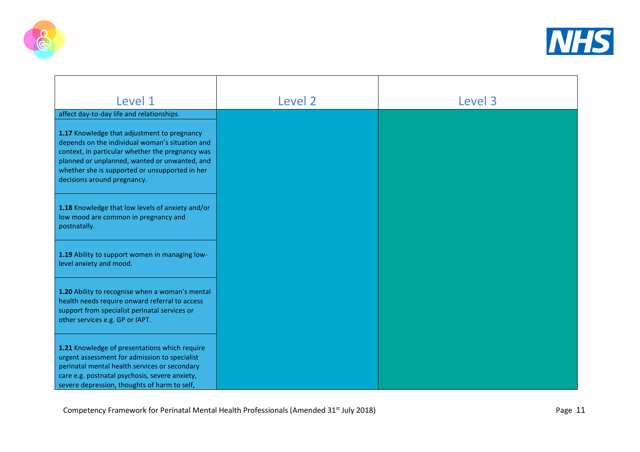



| Level 1                                                                                                                                                                                                                                                                                                                           | Level 2 | Level 3 |
|-----------------------------------------------------------------------------------------------------------------------------------------------------------------------------------------------------------------------------------------------------------------------------------------------------------------------------------|---------|---------|
| affect day-to-day life and relationships.<br>1.17 Knowledge that adjustment to pregnancy<br>depends on the individual woman's situation and<br>context, in particular whether the pregnancy was<br>planned or unplanned, wanted or unwanted, and<br>whether she is supported or unsupported in her<br>decisions around pregnancy. |         |         |
| 1.18 Knowledge that low levels of anxiety and/or<br>low mood are common in pregnancy and<br>postnatally.                                                                                                                                                                                                                          |         |         |
| 1.19 Ability to support women in managing low-<br>level anxiety and mood.                                                                                                                                                                                                                                                         |         |         |
| 1.20 Ability to recognise when a woman's mental<br>health needs require onward referral to access<br>support from specialist perinatal services or<br>other services e.g. GP or IAPT.                                                                                                                                             |         |         |
| 1.21 Knowledge of presentations which require<br>urgent assessment for admission to specialist<br>perinatal mental health services or secondary<br>care e.g. postnatal psychosis, severe anxiety,<br>severe depression, thoughts of harm to self,                                                                                 |         |         |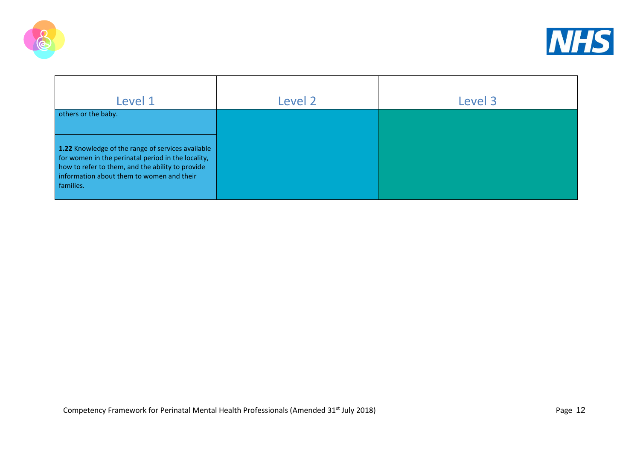



| Level 1                                                                                                                                                                                                                                      | Level 2 | Level 3 |
|----------------------------------------------------------------------------------------------------------------------------------------------------------------------------------------------------------------------------------------------|---------|---------|
| others or the baby.<br>1.22 Knowledge of the range of services available<br>for women in the perinatal period in the locality,<br>how to refer to them, and the ability to provide<br>information about them to women and their<br>families. |         |         |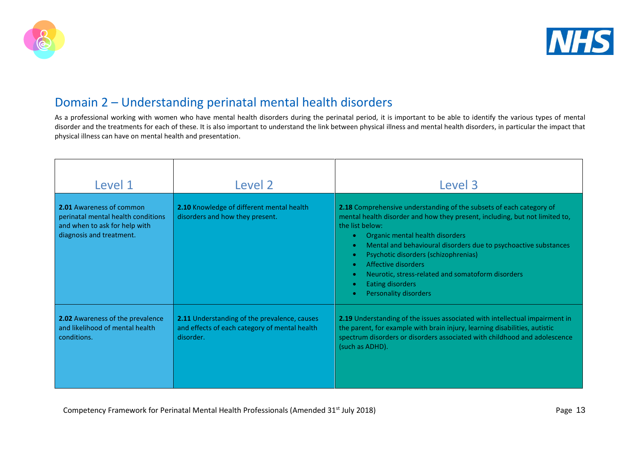



### Domain 2 – Understanding perinatal mental health disorders

As a professional working with women who have mental health disorders during the perinatal period, it is important to be able to identify the various types of mental disorder and the treatments for each of these. It is also important to understand the link between physical illness and mental health disorders, in particular the impact that physical illness can have on mental health and presentation.

| Level 1                                                                                                                     | Level 2                                                                                                    | Level 3                                                                                                                                                                                                                                                                                                                                                                                                                                                                                                        |
|-----------------------------------------------------------------------------------------------------------------------------|------------------------------------------------------------------------------------------------------------|----------------------------------------------------------------------------------------------------------------------------------------------------------------------------------------------------------------------------------------------------------------------------------------------------------------------------------------------------------------------------------------------------------------------------------------------------------------------------------------------------------------|
| 2.01 Awareness of common<br>perinatal mental health conditions<br>and when to ask for help with<br>diagnosis and treatment. | 2.10 Knowledge of different mental health<br>disorders and how they present.                               | 2.18 Comprehensive understanding of the subsets of each category of<br>mental health disorder and how they present, including, but not limited to,<br>the list below:<br>Organic mental health disorders<br>$\bullet$<br>Mental and behavioural disorders due to psychoactive substances<br>Psychotic disorders (schizophrenias)<br>Affective disorders<br>$\bullet$<br>Neurotic, stress-related and somatoform disorders<br><b>Eating disorders</b><br>$\bullet$<br><b>Personality disorders</b><br>$\bullet$ |
| 2.02 Awareness of the prevalence<br>and likelihood of mental health<br>conditions.                                          | 2.11 Understanding of the prevalence, causes<br>and effects of each category of mental health<br>disorder. | 2.19 Understanding of the issues associated with intellectual impairment in<br>the parent, for example with brain injury, learning disabilities, autistic<br>spectrum disorders or disorders associated with childhood and adolescence<br>(such as ADHD).                                                                                                                                                                                                                                                      |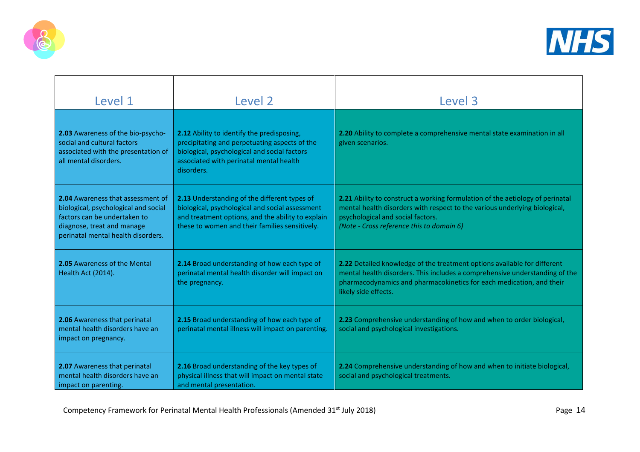



| Level 1                                                                                                                                                                       | Level 2                                                                                                                                                                                                | Level 3                                                                                                                                                                                                                                                 |
|-------------------------------------------------------------------------------------------------------------------------------------------------------------------------------|--------------------------------------------------------------------------------------------------------------------------------------------------------------------------------------------------------|---------------------------------------------------------------------------------------------------------------------------------------------------------------------------------------------------------------------------------------------------------|
|                                                                                                                                                                               |                                                                                                                                                                                                        |                                                                                                                                                                                                                                                         |
| 2.03 Awareness of the bio-psycho-<br>social and cultural factors<br>associated with the presentation of<br>all mental disorders.                                              | 2.12 Ability to identify the predisposing,<br>precipitating and perpetuating aspects of the<br>biological, psychological and social factors<br>associated with perinatal mental health<br>disorders.   | 2.20 Ability to complete a comprehensive mental state examination in all<br>given scenarios.                                                                                                                                                            |
| 2.04 Awareness that assessment of<br>biological, psychological and social<br>factors can be undertaken to<br>diagnose, treat and manage<br>perinatal mental health disorders. | 2.13 Understanding of the different types of<br>biological, psychological and social assessment<br>and treatment options, and the ability to explain<br>these to women and their families sensitively. | 2.21 Ability to construct a working formulation of the aetiology of perinatal<br>mental health disorders with respect to the various underlying biological,<br>psychological and social factors.<br>(Note - Cross reference this to domain 6)           |
| 2.05 Awareness of the Mental<br>Health Act (2014).                                                                                                                            | 2.14 Broad understanding of how each type of<br>perinatal mental health disorder will impact on<br>the pregnancy.                                                                                      | 2.22 Detailed knowledge of the treatment options available for different<br>mental health disorders. This includes a comprehensive understanding of the<br>pharmacodynamics and pharmacokinetics for each medication, and their<br>likely side effects. |
| 2.06 Awareness that perinatal<br>mental health disorders have an<br>impact on pregnancy.                                                                                      | 2.15 Broad understanding of how each type of<br>perinatal mental illness will impact on parenting.                                                                                                     | 2.23 Comprehensive understanding of how and when to order biological,<br>social and psychological investigations.                                                                                                                                       |
| 2.07 Awareness that perinatal<br>mental health disorders have an<br>impact on parenting.                                                                                      | 2.16 Broad understanding of the key types of<br>physical illness that will impact on mental state<br>and mental presentation.                                                                          | 2.24 Comprehensive understanding of how and when to initiate biological,<br>social and psychological treatments.                                                                                                                                        |

Competency Framework for Perinatal Mental Health Professionals (Amended 31<sup>st</sup> July 2018) **Page 14** Page 14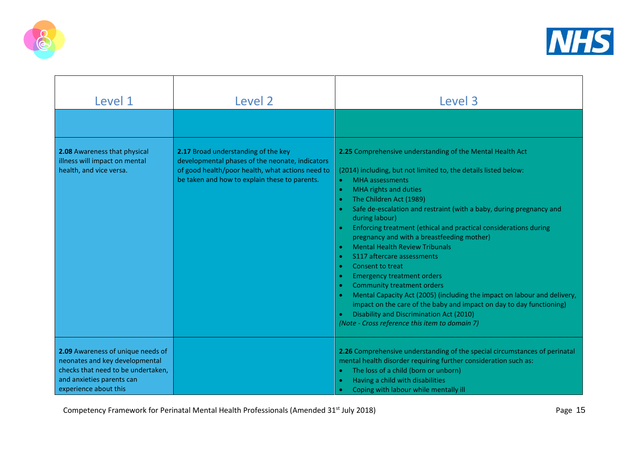



| Level 1                                                                                                                                                         | Level 2                                                                                                                                                                                     | Level 3                                                                                                                                                                                                                                                                                                                                                                                                                                                                                                                                                                                                                                                                                                                                                                                                                                                                                                                                                                                     |
|-----------------------------------------------------------------------------------------------------------------------------------------------------------------|---------------------------------------------------------------------------------------------------------------------------------------------------------------------------------------------|---------------------------------------------------------------------------------------------------------------------------------------------------------------------------------------------------------------------------------------------------------------------------------------------------------------------------------------------------------------------------------------------------------------------------------------------------------------------------------------------------------------------------------------------------------------------------------------------------------------------------------------------------------------------------------------------------------------------------------------------------------------------------------------------------------------------------------------------------------------------------------------------------------------------------------------------------------------------------------------------|
|                                                                                                                                                                 |                                                                                                                                                                                             |                                                                                                                                                                                                                                                                                                                                                                                                                                                                                                                                                                                                                                                                                                                                                                                                                                                                                                                                                                                             |
| 2.08 Awareness that physical<br>illness will impact on mental<br>health, and vice versa.                                                                        | 2.17 Broad understanding of the key<br>developmental phases of the neonate, indicators<br>of good health/poor health, what actions need to<br>be taken and how to explain these to parents. | 2.25 Comprehensive understanding of the Mental Health Act<br>(2014) including, but not limited to, the details listed below:<br><b>MHA</b> assessments<br>$\bullet$<br>MHA rights and duties<br>$\bullet$<br>The Children Act (1989)<br>$\bullet$<br>Safe de-escalation and restraint (with a baby, during pregnancy and<br>$\bullet$<br>during labour)<br>Enforcing treatment (ethical and practical considerations during<br>$\bullet$<br>pregnancy and with a breastfeeding mother)<br><b>Mental Health Review Tribunals</b><br>$\bullet$<br>S117 aftercare assessments<br>$\bullet$<br>Consent to treat<br>$\bullet$<br><b>Emergency treatment orders</b><br>$\bullet$<br><b>Community treatment orders</b><br>$\bullet$<br>Mental Capacity Act (2005) (including the impact on labour and delivery,<br>$\bullet$<br>impact on the care of the baby and impact on day to day functioning)<br>Disability and Discrimination Act (2010)<br>(Note - Cross reference this item to domain 7) |
| 2.09 Awareness of unique needs of<br>neonates and key developmental<br>checks that need to be undertaken,<br>and anxieties parents can<br>experience about this |                                                                                                                                                                                             | 2.26 Comprehensive understanding of the special circumstances of perinatal<br>mental health disorder requiring further consideration such as:<br>The loss of a child (born or unborn)<br>$\bullet$<br>Having a child with disabilities<br>$\bullet$<br>Coping with labour while mentally ill                                                                                                                                                                                                                                                                                                                                                                                                                                                                                                                                                                                                                                                                                                |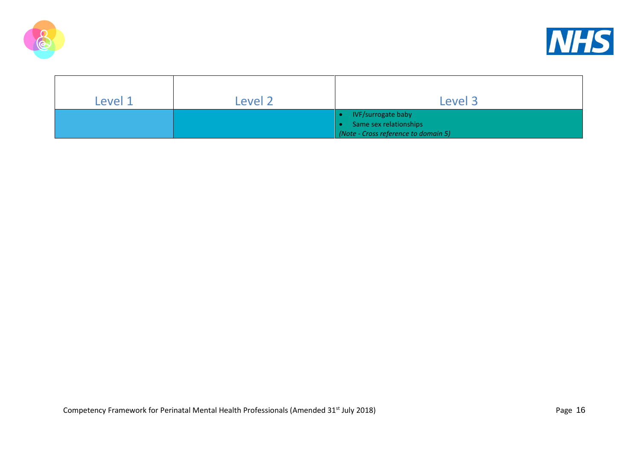



| Level 1 | Level 2 | Level 3                                                                                                        |
|---------|---------|----------------------------------------------------------------------------------------------------------------|
|         |         | IVF/surrogate baby<br>$\bullet$<br>Same sex relationships<br>$\bullet$<br>(Note - Cross reference to domain 5) |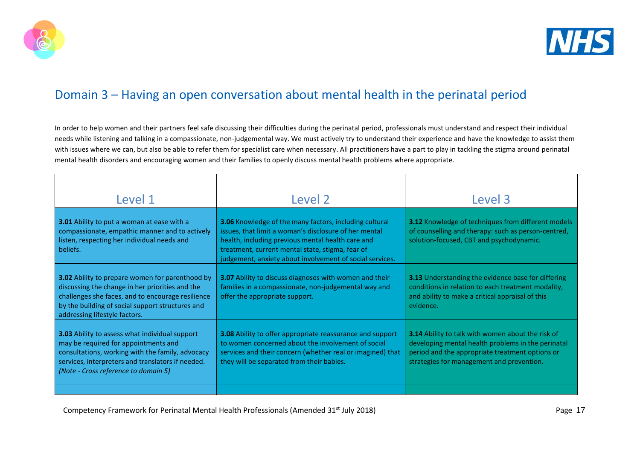



# Domain 3 – Having an open conversation about mental health in the perinatal period

In order to help women and their partners feel safe discussing their difficulties during the perinatal period, professionals must understand and respect their individual needs while listening and talking in a compassionate, non-judgemental way. We must actively try to understand their experience and have the knowledge to assist them with issues where we can, but also be able to refer them for specialist care when necessary. All practitioners have a part to play in tackling the stigma around perinatal mental health disorders and encouraging women and their families to openly discuss mental health problems where appropriate.

| Level 1                                                                                                                                                                                                                                      | Level 2                                                                                                                                                                                                                                                                                     | Level 3                                                                                                                                                                                                 |
|----------------------------------------------------------------------------------------------------------------------------------------------------------------------------------------------------------------------------------------------|---------------------------------------------------------------------------------------------------------------------------------------------------------------------------------------------------------------------------------------------------------------------------------------------|---------------------------------------------------------------------------------------------------------------------------------------------------------------------------------------------------------|
| 3.01 Ability to put a woman at ease with a<br>compassionate, empathic manner and to actively<br>listen, respecting her individual needs and<br>beliefs.                                                                                      | <b>3.06</b> Knowledge of the many factors, including cultural<br>issues, that limit a woman's disclosure of her mental<br>health, including previous mental health care and<br>treatment, current mental state, stigma, fear of<br>judgement, anxiety about involvement of social services. | 3.12 Knowledge of techniques from different models<br>of counselling and therapy: such as person-centred,<br>solution-focused, CBT and psychodynamic.                                                   |
| 3.02 Ability to prepare women for parenthood by<br>discussing the change in her priorities and the<br>challenges she faces, and to encourage resilience<br>by the building of social support structures and<br>addressing lifestyle factors. | 3.07 Ability to discuss diagnoses with women and their<br>families in a compassionate, non-judgemental way and<br>offer the appropriate support.                                                                                                                                            | <b>3.13</b> Understanding the evidence base for differing<br>conditions in relation to each treatment modality,<br>and ability to make a critical appraisal of this<br>evidence.                        |
| 3.03 Ability to assess what individual support<br>may be required for appointments and<br>consultations, working with the family, advocacy<br>services, interpreters and translators if needed.<br>(Note - Cross reference to domain 5)      | 3.08 Ability to offer appropriate reassurance and support<br>to women concerned about the involvement of social<br>services and their concern (whether real or imagined) that<br>they will be separated from their babies.                                                                  | 3.14 Ability to talk with women about the risk of<br>developing mental health problems in the perinatal<br>period and the appropriate treatment options or<br>strategies for management and prevention. |
|                                                                                                                                                                                                                                              |                                                                                                                                                                                                                                                                                             |                                                                                                                                                                                                         |

Competency Framework for Perinatal Mental Health Professionals (Amended 31<sup>st</sup> July 2018) Page 17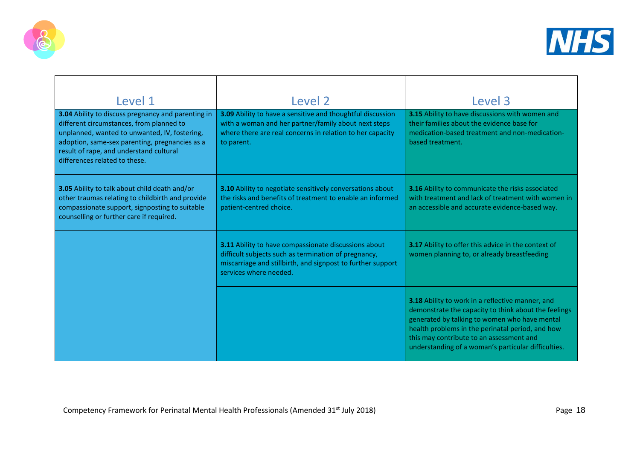



| Level 1                                                                                                                                                                                                                                                                       | Level 2                                                                                                                                                                                               | Level 3                                                                                                                                                                                                                                                                                                          |
|-------------------------------------------------------------------------------------------------------------------------------------------------------------------------------------------------------------------------------------------------------------------------------|-------------------------------------------------------------------------------------------------------------------------------------------------------------------------------------------------------|------------------------------------------------------------------------------------------------------------------------------------------------------------------------------------------------------------------------------------------------------------------------------------------------------------------|
|                                                                                                                                                                                                                                                                               |                                                                                                                                                                                                       |                                                                                                                                                                                                                                                                                                                  |
| 3.04 Ability to discuss pregnancy and parenting in<br>different circumstances, from planned to<br>unplanned, wanted to unwanted, IV, fostering,<br>adoption, same-sex parenting, pregnancies as a<br>result of rape, and understand cultural<br>differences related to these. | 3.09 Ability to have a sensitive and thoughtful discussion<br>with a woman and her partner/family about next steps<br>where there are real concerns in relation to her capacity<br>to parent.         | 3.15 Ability to have discussions with women and<br>their families about the evidence base for<br>medication-based treatment and non-medication-<br>based treatment.                                                                                                                                              |
| 3.05 Ability to talk about child death and/or<br>other traumas relating to childbirth and provide<br>compassionate support, signposting to suitable<br>counselling or further care if required.                                                                               | 3.10 Ability to negotiate sensitively conversations about<br>the risks and benefits of treatment to enable an informed<br>patient-centred choice.                                                     | 3.16 Ability to communicate the risks associated<br>with treatment and lack of treatment with women in<br>an accessible and accurate evidence-based way.                                                                                                                                                         |
|                                                                                                                                                                                                                                                                               | 3.11 Ability to have compassionate discussions about<br>difficult subjects such as termination of pregnancy,<br>miscarriage and stillbirth, and signpost to further support<br>services where needed. | 3.17 Ability to offer this advice in the context of<br>women planning to, or already breastfeeding                                                                                                                                                                                                               |
|                                                                                                                                                                                                                                                                               |                                                                                                                                                                                                       | 3.18 Ability to work in a reflective manner, and<br>demonstrate the capacity to think about the feelings<br>generated by talking to women who have mental<br>health problems in the perinatal period, and how<br>this may contribute to an assessment and<br>understanding of a woman's particular difficulties. |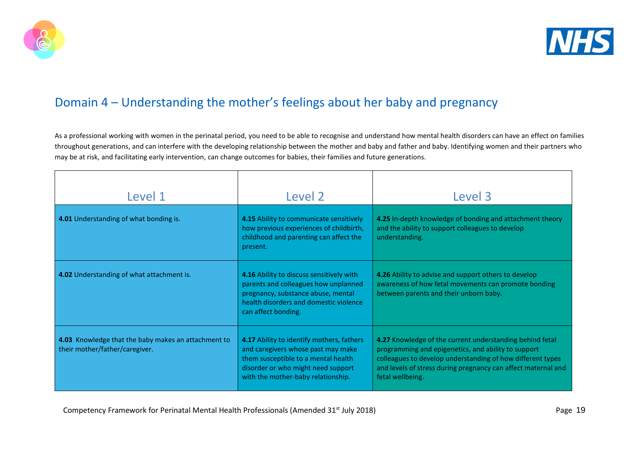



# Domain 4 – Understanding the mother's feelings about her baby and pregnancy

As a professional working with women in the perinatal period, you need to be able to recognise and understand how mental health disorders can have an effect on families throughout generations, and can interfere with the developing relationship between the mother and baby and father and baby. Identifying women and their partners who may be at risk, and facilitating early intervention, can change outcomes for babies, their families and future generations.

| Level 1                                                                               | Level 2                                                                                                                                                                                            | Level 3                                                                                                                                                                                                                                                            |
|---------------------------------------------------------------------------------------|----------------------------------------------------------------------------------------------------------------------------------------------------------------------------------------------------|--------------------------------------------------------------------------------------------------------------------------------------------------------------------------------------------------------------------------------------------------------------------|
| 4.01 Understanding of what bonding is.                                                | 4.15 Ability to communicate sensitively<br>how previous experiences of childbirth,<br>childhood and parenting can affect the<br>present.                                                           | 4.25 In-depth knowledge of bonding and attachment theory<br>and the ability to support colleagues to develop<br>understanding.                                                                                                                                     |
| 4.02 Understanding of what attachment is.                                             | 4.16 Ability to discuss sensitively with<br>parents and colleagues how unplanned<br>pregnancy, substance abuse, mental<br>health disorders and domestic violence<br>can affect bonding.            | 4.26 Ability to advise and support others to develop<br>awareness of how fetal movements can promote bonding<br>between parents and their unborn baby.                                                                                                             |
| 4.03 Knowledge that the baby makes an attachment to<br>their mother/father/caregiver. | 4.17 Ability to identify mothers, fathers<br>and caregivers whose past may make<br>them susceptible to a mental health<br>disorder or who might need support<br>with the mother-baby relationship. | 4.27 Knowledge of the current understanding behind fetal<br>programming and epigenetics, and ability to support<br>colleagues to develop understanding of how different types<br>and levels of stress during pregnancy can affect maternal and<br>fetal wellbeing. |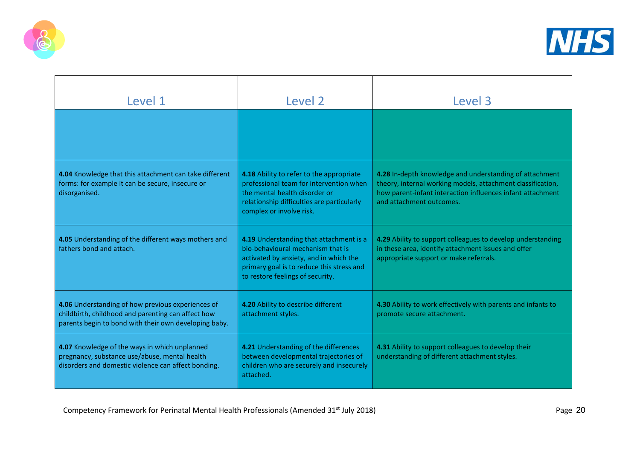



| Level 1                                                                                                                                                          | Level 2                                                                                                                                                                                                 | Level 3                                                                                                                                                                                                          |
|------------------------------------------------------------------------------------------------------------------------------------------------------------------|---------------------------------------------------------------------------------------------------------------------------------------------------------------------------------------------------------|------------------------------------------------------------------------------------------------------------------------------------------------------------------------------------------------------------------|
|                                                                                                                                                                  |                                                                                                                                                                                                         |                                                                                                                                                                                                                  |
| 4.04 Knowledge that this attachment can take different<br>forms: for example it can be secure, insecure or<br>disorganised.                                      | 4.18 Ability to refer to the appropriate<br>professional team for intervention when<br>the mental health disorder or<br>relationship difficulties are particularly<br>complex or involve risk.          | 4.28 In-depth knowledge and understanding of attachment<br>theory, internal working models, attachment classification,<br>how parent-infant interaction influences infant attachment<br>and attachment outcomes. |
| 4.05 Understanding of the different ways mothers and<br>fathers bond and attach.                                                                                 | 4.19 Understanding that attachment is a<br>bio-behavioural mechanism that is<br>activated by anxiety, and in which the<br>primary goal is to reduce this stress and<br>to restore feelings of security. | 4.29 Ability to support colleagues to develop understanding<br>in these area, identify attachment issues and offer<br>appropriate support or make referrals.                                                     |
| 4.06 Understanding of how previous experiences of<br>childbirth, childhood and parenting can affect how<br>parents begin to bond with their own developing baby. | 4.20 Ability to describe different<br>attachment styles.                                                                                                                                                | 4.30 Ability to work effectively with parents and infants to<br>promote secure attachment.                                                                                                                       |
| 4.07 Knowledge of the ways in which unplanned<br>pregnancy, substance use/abuse, mental health<br>disorders and domestic violence can affect bonding.            | 4.21 Understanding of the differences<br>between developmental trajectories of<br>children who are securely and insecurely<br>attached.                                                                 | 4.31 Ability to support colleagues to develop their<br>understanding of different attachment styles.                                                                                                             |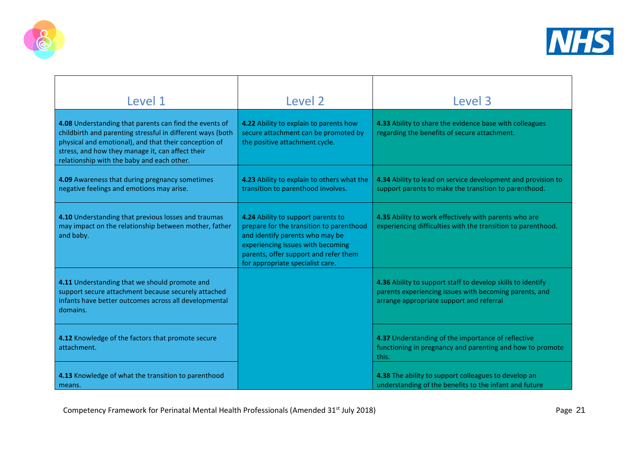



| Level 1                                                                                                                                                                                                                                                                         | Level 2                                                                                                                                                                                                                             | Level 3                                                                                                                                                           |
|---------------------------------------------------------------------------------------------------------------------------------------------------------------------------------------------------------------------------------------------------------------------------------|-------------------------------------------------------------------------------------------------------------------------------------------------------------------------------------------------------------------------------------|-------------------------------------------------------------------------------------------------------------------------------------------------------------------|
| 4.08 Understanding that parents can find the events of<br>childbirth and parenting stressful in different ways (both<br>physical and emotional), and that their conception of<br>stress, and how they manage it, can affect their<br>relationship with the baby and each other. | 4.22 Ability to explain to parents how<br>secure attachment can be promoted by<br>the positive attachment cycle.                                                                                                                    | 4.33 Ability to share the evidence base with colleagues<br>regarding the benefits of secure attachment.                                                           |
| 4.09 Awareness that during pregnancy sometimes<br>negative feelings and emotions may arise.                                                                                                                                                                                     | 4.23 Ability to explain to others what the<br>transition to parenthood involves.                                                                                                                                                    | 4.34 Ability to lead on service development and provision to<br>support parents to make the transition to parenthood.                                             |
| 4.10 Understanding that previous losses and traumas<br>may impact on the relationship between mother, father<br>and baby.                                                                                                                                                       | 4.24 Ability to support parents to<br>prepare for the transition to parenthood<br>and identify parents who may be<br>experiencing issues with becoming<br>parents, offer support and refer them<br>for appropriate specialist care. | 4.35 Ability to work effectively with parents who are<br>experiencing difficulties with the transition to parenthood.                                             |
| 4.11 Understanding that we should promote and<br>support secure attachment because securely attached<br>infants have better outcomes across all developmental<br>domains.                                                                                                       |                                                                                                                                                                                                                                     | 4.36 Ability to support staff to develop skills to identify<br>parents experiencing issues with becoming parents, and<br>arrange appropriate support and referral |
| 4.12 Knowledge of the factors that promote secure<br>attachment.                                                                                                                                                                                                                |                                                                                                                                                                                                                                     | 4.37 Understanding of the importance of reflective<br>functioning in pregnancy and parenting and how to promote<br>this.                                          |
| 4.13 Knowledge of what the transition to parenthood<br>means.                                                                                                                                                                                                                   |                                                                                                                                                                                                                                     | 4.38 The ability to support colleagues to develop an<br>understanding of the benefits to the infant and future                                                    |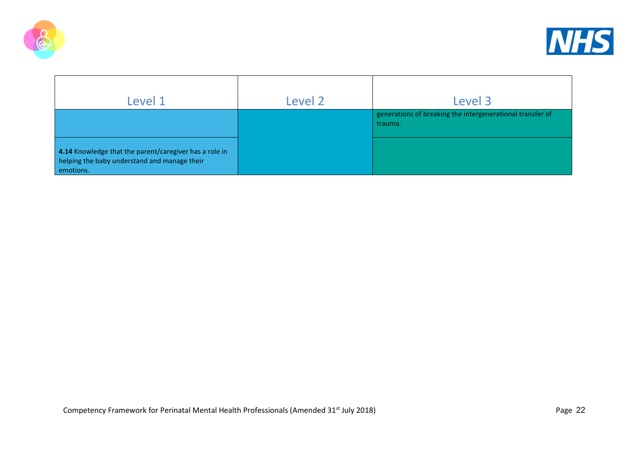



| Level 1                                                                                                             | <b>Level 2</b> | Level 3                                                              |
|---------------------------------------------------------------------------------------------------------------------|----------------|----------------------------------------------------------------------|
|                                                                                                                     |                | generations of breaking the intergenerational transfer of<br>trauma. |
| 4.14 Knowledge that the parent/caregiver has a role in<br>helping the baby understand and manage their<br>emotions. |                |                                                                      |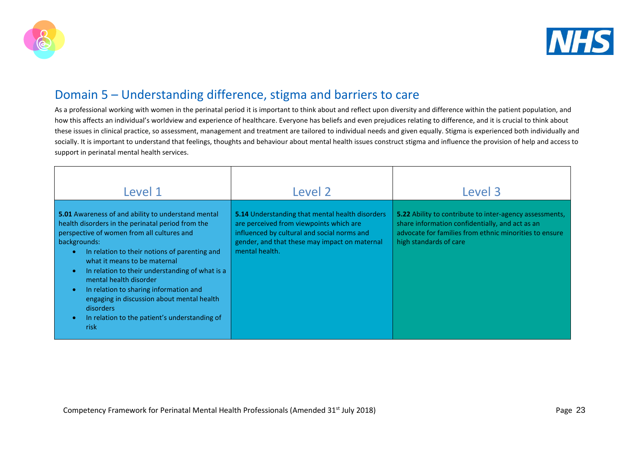



# Domain 5 – Understanding difference, stigma and barriers to care

As a professional working with women in the perinatal period it is important to think about and reflect upon diversity and difference within the patient population, and how this affects an individual's worldview and experience of healthcare. Everyone has beliefs and even prejudices relating to difference, and it is crucial to think about these issues in clinical practice, so assessment, management and treatment are tailored to individual needs and given equally. Stigma is experienced both individually and socially. It is important to understand that feelings, thoughts and behaviour about mental health issues construct stigma and influence the provision of help and access to support in perinatal mental health services.

| Level 1                                                                                                                                                                                                                                                                                                                                                                                                                                                                                                  | Level 2                                                                                                                                                                                                             | Level 3                                                                                                                                                                                               |
|----------------------------------------------------------------------------------------------------------------------------------------------------------------------------------------------------------------------------------------------------------------------------------------------------------------------------------------------------------------------------------------------------------------------------------------------------------------------------------------------------------|---------------------------------------------------------------------------------------------------------------------------------------------------------------------------------------------------------------------|-------------------------------------------------------------------------------------------------------------------------------------------------------------------------------------------------------|
| <b>5.01</b> Awareness of and ability to understand mental<br>health disorders in the perinatal period from the<br>perspective of women from all cultures and<br>backgrounds:<br>In relation to their notions of parenting and<br>what it means to be maternal<br>In relation to their understanding of what is a<br>mental health disorder<br>In relation to sharing information and<br>engaging in discussion about mental health<br>disorders<br>In relation to the patient's understanding of<br>risk | <b>5.14</b> Understanding that mental health disorders<br>are perceived from viewpoints which are<br>influenced by cultural and social norms and<br>gender, and that these may impact on maternal<br>mental health. | <b>5.22</b> Ability to contribute to inter-agency assessments,<br>share information confidentially, and act as an<br>advocate for families from ethnic minorities to ensure<br>high standards of care |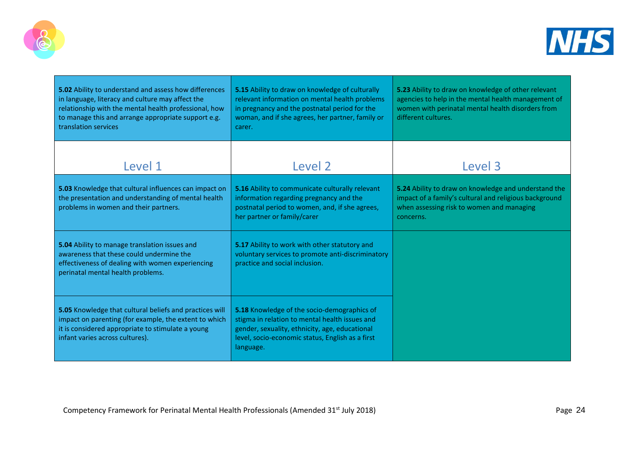



| 5.02 Ability to understand and assess how differences<br>in language, literacy and culture may affect the<br>relationship with the mental health professional, how<br>to manage this and arrange appropriate support e.g.<br>translation services | 5.15 Ability to draw on knowledge of culturally<br>relevant information on mental health problems<br>in pregnancy and the postnatal period for the<br>woman, and if she agrees, her partner, family or<br>carer. | 5.23 Ability to draw on knowledge of other relevant<br>agencies to help in the mental health management of<br>women with perinatal mental health disorders from<br>different cultures. |
|---------------------------------------------------------------------------------------------------------------------------------------------------------------------------------------------------------------------------------------------------|------------------------------------------------------------------------------------------------------------------------------------------------------------------------------------------------------------------|----------------------------------------------------------------------------------------------------------------------------------------------------------------------------------------|
| Level 1                                                                                                                                                                                                                                           | Level 2                                                                                                                                                                                                          | Level 3                                                                                                                                                                                |
| 5.03 Knowledge that cultural influences can impact on<br>the presentation and understanding of mental health<br>problems in women and their partners.                                                                                             | 5.16 Ability to communicate culturally relevant<br>information regarding pregnancy and the<br>postnatal period to women, and, if she agrees,<br>her partner or family/carer                                      | 5.24 Ability to draw on knowledge and understand the<br>impact of a family's cultural and religious background<br>when assessing risk to women and managing<br>concerns.               |
| 5.04 Ability to manage translation issues and<br>awareness that these could undermine the<br>effectiveness of dealing with women experiencing<br>perinatal mental health problems.                                                                | 5.17 Ability to work with other statutory and<br>voluntary services to promote anti-discriminatory<br>practice and social inclusion.                                                                             |                                                                                                                                                                                        |
| 5.05 Knowledge that cultural beliefs and practices will<br>impact on parenting (for example, the extent to which<br>it is considered appropriate to stimulate a young<br>infant varies across cultures).                                          | 5.18 Knowledge of the socio-demographics of<br>stigma in relation to mental health issues and<br>gender, sexuality, ethnicity, age, educational<br>level, socio-economic status, English as a first<br>language. |                                                                                                                                                                                        |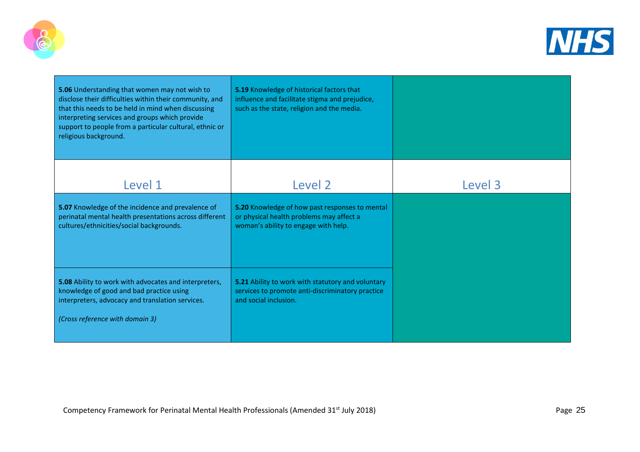



| 5.06 Understanding that women may not wish to<br>disclose their difficulties within their community, and<br>that this needs to be held in mind when discussing<br>interpreting services and groups which provide<br>support to people from a particular cultural, ethnic or<br>religious background. | 5.19 Knowledge of historical factors that<br>influence and facilitate stigma and prejudice,<br>such as the state, religion and the media. |         |
|------------------------------------------------------------------------------------------------------------------------------------------------------------------------------------------------------------------------------------------------------------------------------------------------------|-------------------------------------------------------------------------------------------------------------------------------------------|---------|
| Level 1                                                                                                                                                                                                                                                                                              | Level 2                                                                                                                                   | Level 3 |
| 5.07 Knowledge of the incidence and prevalence of<br>perinatal mental health presentations across different<br>cultures/ethnicities/social backgrounds.                                                                                                                                              | 5.20 Knowledge of how past responses to mental<br>or physical health problems may affect a<br>woman's ability to engage with help.        |         |
| 5.08 Ability to work with advocates and interpreters,<br>knowledge of good and bad practice using<br>interpreters, advocacy and translation services.<br>(Cross reference with domain 3)                                                                                                             | 5.21 Ability to work with statutory and voluntary<br>services to promote anti-discriminatory practice<br>and social inclusion.            |         |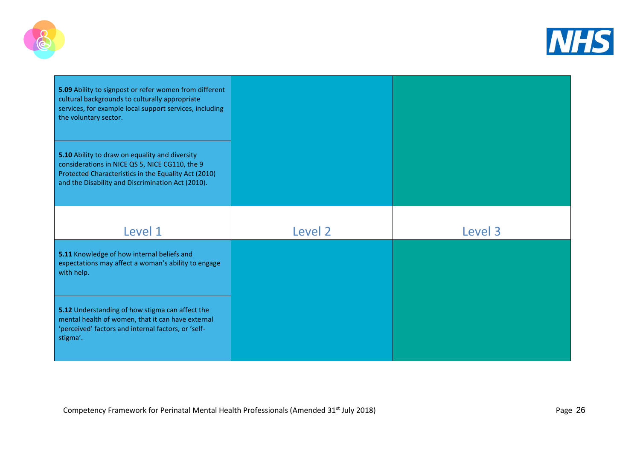



| 5.09 Ability to signpost or refer women from different<br>cultural backgrounds to culturally appropriate<br>services, for example local support services, including<br>the voluntary sector.<br>5.10 Ability to draw on equality and diversity<br>considerations in NICE QS 5, NICE CG110, the 9<br>Protected Characteristics in the Equality Act (2010)<br>and the Disability and Discrimination Act (2010). |         |         |
|---------------------------------------------------------------------------------------------------------------------------------------------------------------------------------------------------------------------------------------------------------------------------------------------------------------------------------------------------------------------------------------------------------------|---------|---------|
| Level 1                                                                                                                                                                                                                                                                                                                                                                                                       | Level 2 | Level 3 |
| 5.11 Knowledge of how internal beliefs and<br>expectations may affect a woman's ability to engage<br>with help.                                                                                                                                                                                                                                                                                               |         |         |
| 5.12 Understanding of how stigma can affect the<br>mental health of women, that it can have external<br>'perceived' factors and internal factors, or 'self-<br>stigma'.                                                                                                                                                                                                                                       |         |         |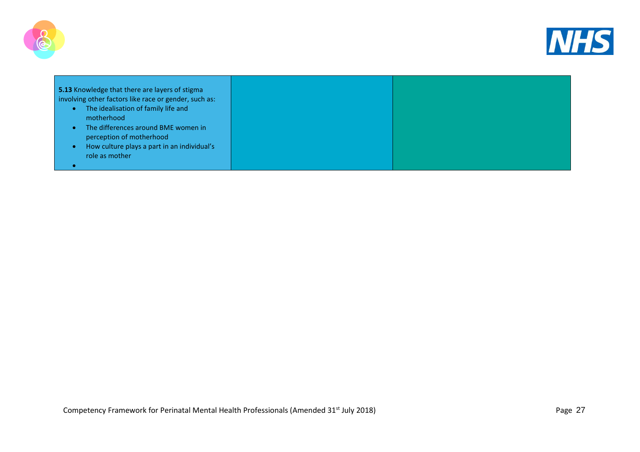



| involving other factors like race or gender, such as:<br>The idealisation of family life and<br>motherhood<br>The differences around BME women in<br>perception of motherhood<br>How culture plays a part in an individual's<br>role as mother |
|------------------------------------------------------------------------------------------------------------------------------------------------------------------------------------------------------------------------------------------------|
|------------------------------------------------------------------------------------------------------------------------------------------------------------------------------------------------------------------------------------------------|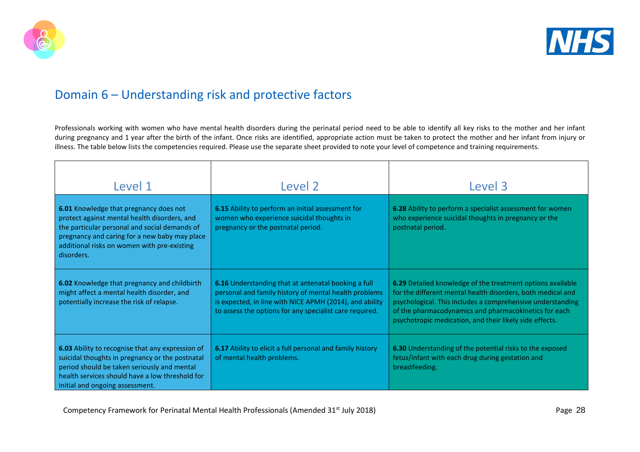



# Domain 6 – Understanding risk and protective factors

Professionals working with women who have mental health disorders during the perinatal period need to be able to identify all key risks to the mother and her infant during pregnancy and 1 year after the birth of the infant. Once risks are identified, appropriate action must be taken to protect the mother and her infant from injury or illness. The table below lists the competencies required. Please use the separate sheet provided to note your level of competence and training requirements.

| Level 1                                                                                                                                                                                                                                               | Level 2                                                                                                                                                                                                                            | Level 3                                                                                                                                                                                                                                                                                                     |
|-------------------------------------------------------------------------------------------------------------------------------------------------------------------------------------------------------------------------------------------------------|------------------------------------------------------------------------------------------------------------------------------------------------------------------------------------------------------------------------------------|-------------------------------------------------------------------------------------------------------------------------------------------------------------------------------------------------------------------------------------------------------------------------------------------------------------|
| 6.01 Knowledge that pregnancy does not<br>protect against mental health disorders, and<br>the particular personal and social demands of<br>pregnancy and caring for a new baby may place<br>additional risks on women with pre-existing<br>disorders. | 6.15 Ability to perform an initial assessment for<br>women who experience suicidal thoughts in<br>pregnancy or the postnatal period.                                                                                               | 6.28 Ability to perform a specialist assessment for women<br>who experience suicidal thoughts in pregnancy or the<br>postnatal period.                                                                                                                                                                      |
| 6.02 Knowledge that pregnancy and childbirth<br>might affect a mental health disorder, and<br>potentially increase the risk of relapse.                                                                                                               | 6.16 Understanding that at antenatal booking a full<br>personal and family history of mental health problems<br>is expected, in line with NICE APMH (2014), and ability<br>to assess the options for any specialist care required. | 6.29 Detailed knowledge of the treatment options available<br>for the different mental health disorders, both medical and<br>psychological. This includes a comprehensive understanding<br>of the pharmacodynamics and pharmacokinetics for each<br>psychotropic medication, and their likely side effects. |
| 6.03 Ability to recognise that any expression of<br>suicidal thoughts in pregnancy or the postnatal<br>period should be taken seriously and mental<br>health services should have a low threshold for<br>initial and ongoing assessment.              | 6.17 Ability to elicit a full personal and family history<br>of mental health problems.                                                                                                                                            | 6.30 Understanding of the potential risks to the exposed<br>fetus/infant with each drug during gestation and<br>breastfeeding.                                                                                                                                                                              |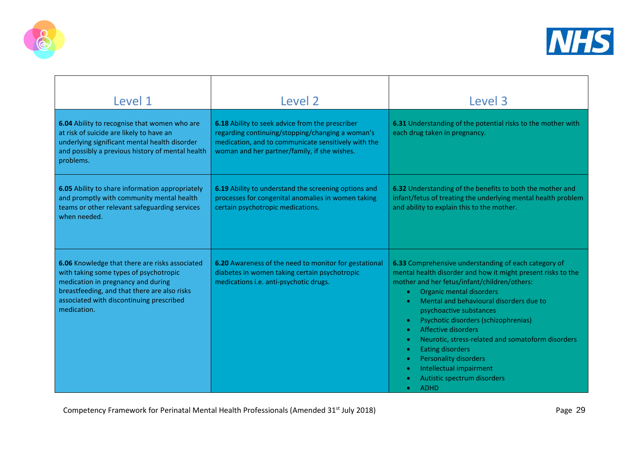



| Level 1                                                                                                                                                                                                                                   | Level 2                                                                                                                                                                                                    | Level 3                                                                                                                                                                                                                                                                                                                                                                                                                                                                                                                                                                                                                                |
|-------------------------------------------------------------------------------------------------------------------------------------------------------------------------------------------------------------------------------------------|------------------------------------------------------------------------------------------------------------------------------------------------------------------------------------------------------------|----------------------------------------------------------------------------------------------------------------------------------------------------------------------------------------------------------------------------------------------------------------------------------------------------------------------------------------------------------------------------------------------------------------------------------------------------------------------------------------------------------------------------------------------------------------------------------------------------------------------------------------|
| 6.04 Ability to recognise that women who are<br>at risk of suicide are likely to have an<br>underlying significant mental health disorder<br>and possibly a previous history of mental health<br>problems.                                | 6.18 Ability to seek advice from the prescriber<br>regarding continuing/stopping/changing a woman's<br>medication, and to communicate sensitively with the<br>woman and her partner/family, if she wishes. | 6.31 Understanding of the potential risks to the mother with<br>each drug taken in pregnancy.                                                                                                                                                                                                                                                                                                                                                                                                                                                                                                                                          |
| 6.05 Ability to share information appropriately<br>and promptly with community mental health<br>teams or other relevant safeguarding services<br>when needed.                                                                             | 6.19 Ability to understand the screening options and<br>processes for congenital anomalies in women taking<br>certain psychotropic medications.                                                            | 6.32 Understanding of the benefits to both the mother and<br>infant/fetus of treating the underlying mental health problem<br>and ability to explain this to the mother.                                                                                                                                                                                                                                                                                                                                                                                                                                                               |
| 6.06 Knowledge that there are risks associated<br>with taking some types of psychotropic<br>medication in pregnancy and during<br>breastfeeding, and that there are also risks<br>associated with discontinuing prescribed<br>medication. | 6.20 Awareness of the need to monitor for gestational<br>diabetes in women taking certain psychotropic<br>medications i.e. anti-psychotic drugs.                                                           | 6.33 Comprehensive understanding of each category of<br>mental health disorder and how it might present risks to the<br>mother and her fetus/infant/children/others:<br>Organic mental disorders<br>$\bullet$<br>Mental and behavioural disorders due to<br>$\bullet$<br>psychoactive substances<br>Psychotic disorders (schizophrenias)<br>$\bullet$<br>Affective disorders<br>$\bullet$<br>Neurotic, stress-related and somatoform disorders<br>$\bullet$<br><b>Eating disorders</b><br>$\bullet$<br><b>Personality disorders</b><br>$\bullet$<br>Intellectual impairment<br>$\bullet$<br>Autistic spectrum disorders<br><b>ADHD</b> |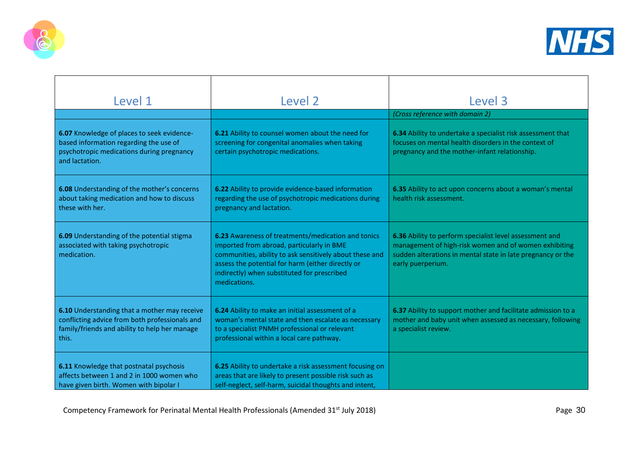



| Level 1                                                                                                                                                  | Level 2                                                                                                                                                                                                                                                                        | Level 3                                                                                                                                                                                              |
|----------------------------------------------------------------------------------------------------------------------------------------------------------|--------------------------------------------------------------------------------------------------------------------------------------------------------------------------------------------------------------------------------------------------------------------------------|------------------------------------------------------------------------------------------------------------------------------------------------------------------------------------------------------|
|                                                                                                                                                          |                                                                                                                                                                                                                                                                                | (Cross reference with domain 2)                                                                                                                                                                      |
| 6.07 Knowledge of places to seek evidence-<br>based information regarding the use of<br>psychotropic medications during pregnancy<br>and lactation.      | 6.21 Ability to counsel women about the need for<br>screening for congenital anomalies when taking<br>certain psychotropic medications.                                                                                                                                        | 6.34 Ability to undertake a specialist risk assessment that<br>focuses on mental health disorders in the context of<br>pregnancy and the mother-infant relationship.                                 |
| 6.08 Understanding of the mother's concerns<br>about taking medication and how to discuss<br>these with her.                                             | 6.22 Ability to provide evidence-based information<br>regarding the use of psychotropic medications during<br>pregnancy and lactation.                                                                                                                                         | 6.35 Ability to act upon concerns about a woman's mental<br>health risk assessment.                                                                                                                  |
| 6.09 Understanding of the potential stigma<br>associated with taking psychotropic<br>medication.                                                         | 6.23 Awareness of treatments/medication and tonics<br>imported from abroad, particularly in BME<br>communities, ability to ask sensitively about these and<br>assess the potential for harm (either directly or<br>indirectly) when substituted for prescribed<br>medications. | 6.36 Ability to perform specialist level assessment and<br>management of high-risk women and of women exhibiting<br>sudden alterations in mental state in late pregnancy or the<br>early puerperium. |
| 6.10 Understanding that a mother may receive<br>conflicting advice from both professionals and<br>family/friends and ability to help her manage<br>this. | 6.24 Ability to make an initial assessment of a<br>woman's mental state and then escalate as necessary<br>to a specialist PNMH professional or relevant<br>professional within a local care pathway.                                                                           | 6.37 Ability to support mother and facilitate admission to a<br>mother and baby unit when assessed as necessary, following<br>a specialist review.                                                   |
| 6.11 Knowledge that postnatal psychosis<br>affects between 1 and 2 in 1000 women who<br>have given birth. Women with bipolar I                           | 6.25 Ability to undertake a risk assessment focusing on<br>areas that are likely to present possible risk such as<br>self-neglect, self-harm, suicidal thoughts and intent,                                                                                                    |                                                                                                                                                                                                      |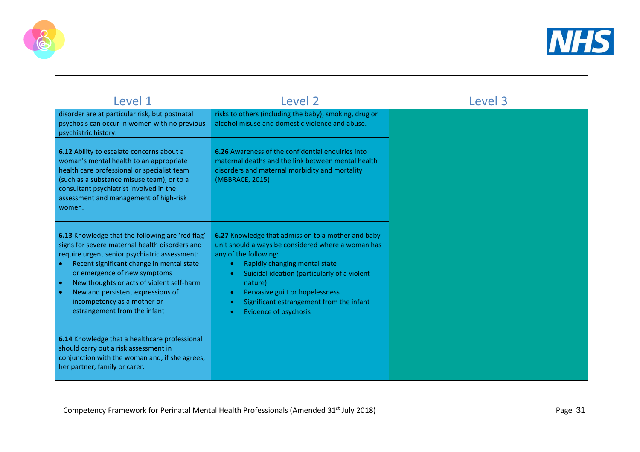



| Level 1                                                                                                                                                                                                                                                                                                                                                                           | Level 2                                                                                                                                                                                                                                                                                                                                      |
|-----------------------------------------------------------------------------------------------------------------------------------------------------------------------------------------------------------------------------------------------------------------------------------------------------------------------------------------------------------------------------------|----------------------------------------------------------------------------------------------------------------------------------------------------------------------------------------------------------------------------------------------------------------------------------------------------------------------------------------------|
| disorder are at particular risk, but postnatal<br>psychosis can occur in women with no previous<br>psychiatric history.                                                                                                                                                                                                                                                           | risks to others (including the baby), smoking, drug or<br>alcohol misuse and domestic violence and abuse.                                                                                                                                                                                                                                    |
| 6.12 Ability to escalate concerns about a<br>woman's mental health to an appropriate<br>health care professional or specialist team<br>(such as a substance misuse team), or to a<br>consultant psychiatrist involved in the<br>assessment and management of high-risk<br>women.                                                                                                  | 6.26 Awareness of the confidential enquiries into<br>maternal deaths and the link between mental health<br>disorders and maternal morbidity and mortality<br>(MBBRACE, 2015)                                                                                                                                                                 |
| 6.13 Knowledge that the following are 'red flag'<br>signs for severe maternal health disorders and<br>require urgent senior psychiatric assessment:<br>Recent significant change in mental state<br>or emergence of new symptoms<br>New thoughts or acts of violent self-harm<br>New and persistent expressions of<br>incompetency as a mother or<br>estrangement from the infant | 6.27 Knowledge that admission to a mother and baby<br>unit should always be considered where a woman has<br>any of the following:<br>Rapidly changing mental state<br>Suicidal ideation (particularly of a violent<br>nature)<br>Pervasive guilt or hopelessness<br>Significant estrangement from the infant<br><b>Evidence of psychosis</b> |
| 6.14 Knowledge that a healthcare professional<br>should carry out a risk assessment in<br>conjunction with the woman and, if she agrees,<br>her partner, family or carer.                                                                                                                                                                                                         |                                                                                                                                                                                                                                                                                                                                              |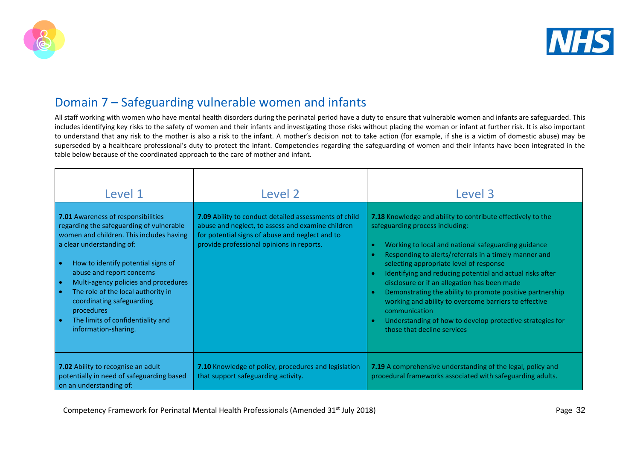



# Domain 7 – Safeguarding vulnerable women and infants

All staff working with women who have mental health disorders during the perinatal period have a duty to ensure that vulnerable women and infants are safeguarded. This includes identifying key risks to the safety of women and their infants and investigating those risks without placing the woman or infant at further risk. It is also important to understand that any risk to the mother is also a risk to the infant. A mother's decision not to take action (for example, if she is a victim of domestic abuse) may be superseded by a healthcare professional's duty to protect the infant. Competencies regarding the safeguarding of women and their infants have been integrated in the table below because of the coordinated approach to the care of mother and infant.

| Level 1                                                                                                                                                                                                                                                                                                                                                                                                          | Level 2                                                                                                                                                                                                    | Level 3                                                                                                                                                                                                                                                                                                                                                                                                                                                                                                                                                                                                   |
|------------------------------------------------------------------------------------------------------------------------------------------------------------------------------------------------------------------------------------------------------------------------------------------------------------------------------------------------------------------------------------------------------------------|------------------------------------------------------------------------------------------------------------------------------------------------------------------------------------------------------------|-----------------------------------------------------------------------------------------------------------------------------------------------------------------------------------------------------------------------------------------------------------------------------------------------------------------------------------------------------------------------------------------------------------------------------------------------------------------------------------------------------------------------------------------------------------------------------------------------------------|
| 7.01 Awareness of responsibilities<br>regarding the safeguarding of vulnerable<br>women and children. This includes having<br>a clear understanding of:<br>How to identify potential signs of<br>abuse and report concerns<br>Multi-agency policies and procedures<br>The role of the local authority in<br>coordinating safeguarding<br>procedures<br>The limits of confidentiality and<br>information-sharing. | 7.09 Ability to conduct detailed assessments of child<br>abuse and neglect, to assess and examine children<br>for potential signs of abuse and neglect and to<br>provide professional opinions in reports. | 7.18 Knowledge and ability to contribute effectively to the<br>safeguarding process including:<br>Working to local and national safeguarding guidance<br>Responding to alerts/referrals in a timely manner and<br>selecting appropriate level of response<br>Identifying and reducing potential and actual risks after<br>disclosure or if an allegation has been made<br>Demonstrating the ability to promote positive partnership<br>working and ability to overcome barriers to effective<br>communication<br>Understanding of how to develop protective strategies for<br>those that decline services |
| 7.02 Ability to recognise an adult<br>potentially in need of safeguarding based<br>on an understanding of:                                                                                                                                                                                                                                                                                                       | 7.10 Knowledge of policy, procedures and legislation<br>that support safeguarding activity.                                                                                                                | 7.19 A comprehensive understanding of the legal, policy and<br>procedural frameworks associated with safeguarding adults.                                                                                                                                                                                                                                                                                                                                                                                                                                                                                 |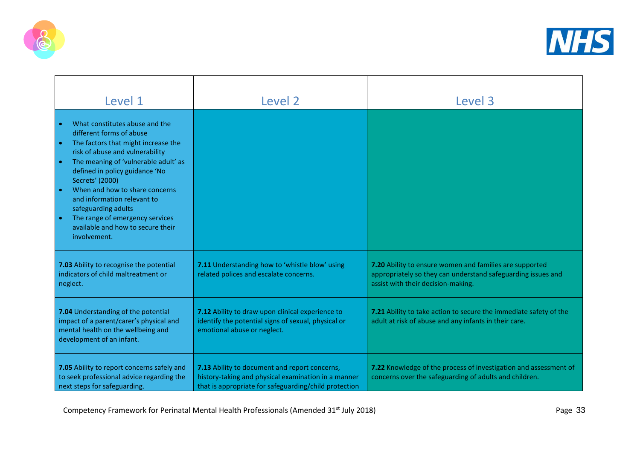



| Level 1                                                                                                                                                                                                                                                                                                                                                                                                                                     | Level 2                                                                                                                                                       | Level 3                                                                                                                                                       |
|---------------------------------------------------------------------------------------------------------------------------------------------------------------------------------------------------------------------------------------------------------------------------------------------------------------------------------------------------------------------------------------------------------------------------------------------|---------------------------------------------------------------------------------------------------------------------------------------------------------------|---------------------------------------------------------------------------------------------------------------------------------------------------------------|
| What constitutes abuse and the<br>different forms of abuse<br>The factors that might increase the<br>$\bullet$<br>risk of abuse and vulnerability<br>The meaning of 'vulnerable adult' as<br>defined in policy guidance 'No<br>Secrets' (2000)<br>When and how to share concerns<br>$\bullet$<br>and information relevant to<br>safeguarding adults<br>The range of emergency services<br>available and how to secure their<br>involvement. |                                                                                                                                                               |                                                                                                                                                               |
| 7.03 Ability to recognise the potential<br>indicators of child maltreatment or<br>neglect.                                                                                                                                                                                                                                                                                                                                                  | 7.11 Understanding how to 'whistle blow' using<br>related polices and escalate concerns.                                                                      | 7.20 Ability to ensure women and families are supported<br>appropriately so they can understand safeguarding issues and<br>assist with their decision-making. |
| 7.04 Understanding of the potential<br>impact of a parent/carer's physical and<br>mental health on the wellbeing and<br>development of an infant.                                                                                                                                                                                                                                                                                           | 7.12 Ability to draw upon clinical experience to<br>identify the potential signs of sexual, physical or<br>emotional abuse or neglect.                        | 7.21 Ability to take action to secure the immediate safety of the<br>adult at risk of abuse and any infants in their care.                                    |
| 7.05 Ability to report concerns safely and<br>to seek professional advice regarding the<br>next steps for safeguarding.                                                                                                                                                                                                                                                                                                                     | 7.13 Ability to document and report concerns,<br>history-taking and physical examination in a manner<br>that is appropriate for safeguarding/child protection | 7.22 Knowledge of the process of investigation and assessment of<br>concerns over the safeguarding of adults and children.                                    |

Competency Framework for Perinatal Mental Health Professionals (Amended 31<sup>st</sup> July 2018) **Page 31** Page 33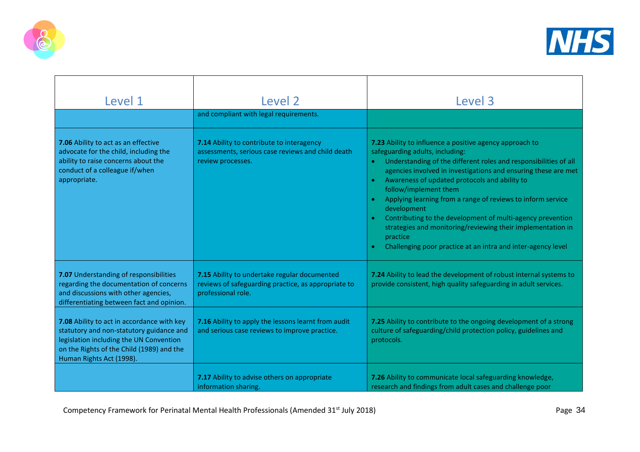



| Level 1                                                                                                                                                                                                    | Level 2<br>and compliant with legal requirements.                                                                         | Level 3                                                                                                                                                                                                                                                                                                                                                                                                                                                                                                                                                                                                        |
|------------------------------------------------------------------------------------------------------------------------------------------------------------------------------------------------------------|---------------------------------------------------------------------------------------------------------------------------|----------------------------------------------------------------------------------------------------------------------------------------------------------------------------------------------------------------------------------------------------------------------------------------------------------------------------------------------------------------------------------------------------------------------------------------------------------------------------------------------------------------------------------------------------------------------------------------------------------------|
| 7.06 Ability to act as an effective<br>advocate for the child, including the<br>ability to raise concerns about the<br>conduct of a colleague if/when<br>appropriate.                                      | 7.14 Ability to contribute to interagency<br>assessments, serious case reviews and child death<br>review processes.       | 7.23 Ability to influence a positive agency approach to<br>safeguarding adults, including:<br>Understanding of the different roles and responsibilities of all<br>$\bullet$<br>agencies involved in investigations and ensuring these are met<br>Awareness of updated protocols and ability to<br>follow/implement them<br>Applying learning from a range of reviews to inform service<br>development<br>Contributing to the development of multi-agency prevention<br>strategies and monitoring/reviewing their implementation in<br>practice<br>Challenging poor practice at an intra and inter-agency level |
| 7.07 Understanding of responsibilities<br>regarding the documentation of concerns<br>and discussions with other agencies,<br>differentiating between fact and opinion.                                     | 7.15 Ability to undertake regular documented<br>reviews of safeguarding practice, as appropriate to<br>professional role. | 7.24 Ability to lead the development of robust internal systems to<br>provide consistent, high quality safeguarding in adult services.                                                                                                                                                                                                                                                                                                                                                                                                                                                                         |
| 7.08 Ability to act in accordance with key<br>statutory and non-statutory guidance and<br>legislation including the UN Convention<br>on the Rights of the Child (1989) and the<br>Human Rights Act (1998). | 7.16 Ability to apply the lessons learnt from audit<br>and serious case reviews to improve practice.                      | 7.25 Ability to contribute to the ongoing development of a strong<br>culture of safeguarding/child protection policy, guidelines and<br>protocols.                                                                                                                                                                                                                                                                                                                                                                                                                                                             |
|                                                                                                                                                                                                            | 7.17 Ability to advise others on appropriate<br>information sharing.                                                      | 7.26 Ability to communicate local safeguarding knowledge,<br>research and findings from adult cases and challenge poor                                                                                                                                                                                                                                                                                                                                                                                                                                                                                         |

Competency Framework for Perinatal Mental Health Professionals (Amended 31<sup>st</sup> July 2018) **Page 34** Page 34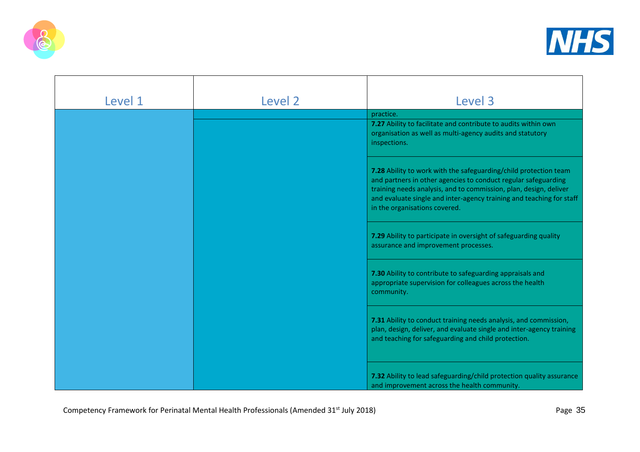



| Level 1 | Level 2 | Level 3                                                                                                                                                                                                                                                                                                          |
|---------|---------|------------------------------------------------------------------------------------------------------------------------------------------------------------------------------------------------------------------------------------------------------------------------------------------------------------------|
|         |         |                                                                                                                                                                                                                                                                                                                  |
|         |         | practice.                                                                                                                                                                                                                                                                                                        |
|         |         | 7.27 Ability to facilitate and contribute to audits within own<br>organisation as well as multi-agency audits and statutory<br>inspections.                                                                                                                                                                      |
|         |         | 7.28 Ability to work with the safeguarding/child protection team<br>and partners in other agencies to conduct regular safeguarding<br>training needs analysis, and to commission, plan, design, deliver<br>and evaluate single and inter-agency training and teaching for staff<br>in the organisations covered. |
|         |         | 7.29 Ability to participate in oversight of safeguarding quality<br>assurance and improvement processes.                                                                                                                                                                                                         |
|         |         | 7.30 Ability to contribute to safeguarding appraisals and<br>appropriate supervision for colleagues across the health<br>community.                                                                                                                                                                              |
|         |         | 7.31 Ability to conduct training needs analysis, and commission,<br>plan, design, deliver, and evaluate single and inter-agency training<br>and teaching for safeguarding and child protection.                                                                                                                  |
|         |         | 7.32 Ability to lead safeguarding/child protection quality assurance<br>and improvement across the health community.                                                                                                                                                                                             |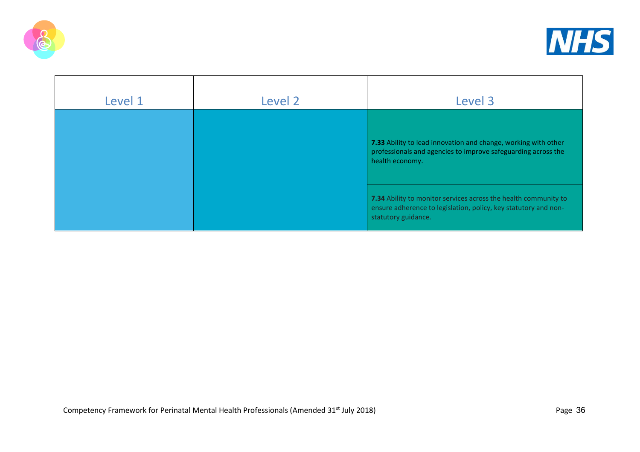



| Level 1 | Level 2 | Level 3                                                                                                                                                   |
|---------|---------|-----------------------------------------------------------------------------------------------------------------------------------------------------------|
|         |         | 7.33 Ability to lead innovation and change, working with other<br>professionals and agencies to improve safeguarding across the<br>health economy.        |
|         |         | 7.34 Ability to monitor services across the health community to<br>ensure adherence to legislation, policy, key statutory and non-<br>statutory guidance. |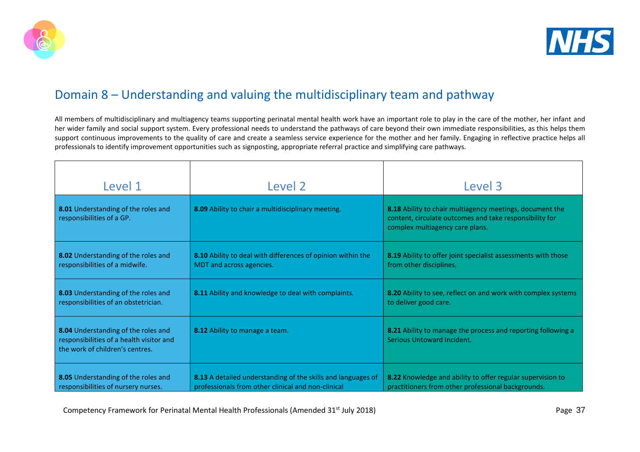



# Domain 8 – Understanding and valuing the multidisciplinary team and pathway

All members of multidisciplinary and multiagency teams supporting perinatal mental health work have an important role to play in the care of the mother, her infant and her wider family and social support system. Every professional needs to understand the pathways of care beyond their own immediate responsibilities, as this helps them support continuous improvements to the quality of care and create a seamless service experience for the mother and her family. Engaging in reflective practice helps all professionals to identify improvement opportunities such as signposting, appropriate referral practice and simplifying care pathways.

| Level 1                                                                                                            | Level 2                                                                                                            | Level 3                                                                                                                                                |
|--------------------------------------------------------------------------------------------------------------------|--------------------------------------------------------------------------------------------------------------------|--------------------------------------------------------------------------------------------------------------------------------------------------------|
| 8.01 Understanding of the roles and<br>responsibilities of a GP.                                                   | 8.09 Ability to chair a multidisciplinary meeting.                                                                 | 8.18 Ability to chair multiagency meetings, document the<br>content, circulate outcomes and take responsibility for<br>complex multiagency care plans. |
| 8.02 Understanding of the roles and<br>responsibilities of a midwife.                                              | 8.10 Ability to deal with differences of opinion within the<br>MDT and across agencies.                            | 8.19 Ability to offer joint specialist assessments with those<br>from other disciplines.                                                               |
| 8.03 Understanding of the roles and<br>responsibilities of an obstetrician.                                        | 8.11 Ability and knowledge to deal with complaints.                                                                | 8.20 Ability to see, reflect on and work with complex systems<br>to deliver good care.                                                                 |
| 8.04 Understanding of the roles and<br>responsibilities of a health visitor and<br>the work of children's centres. | 8.12 Ability to manage a team.                                                                                     | 8.21 Ability to manage the process and reporting following a<br>Serious Untoward Incident.                                                             |
| 8.05 Understanding of the roles and<br>responsibilities of nursery nurses.                                         | 8.13 A detailed understanding of the skills and languages of<br>professionals from other clinical and non-clinical | 8.22 Knowledge and ability to offer regular supervision to<br>practitioners from other professional backgrounds.                                       |

Competency Framework for Perinatal Mental Health Professionals (Amended 31<sup>st</sup> July 2018) Page 37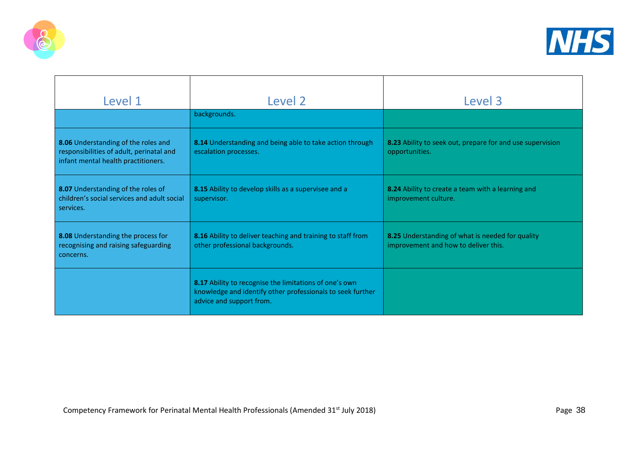



| Level 1                                                                                                                | Level 2                                                                                                                                          | Level 3                                                                                  |
|------------------------------------------------------------------------------------------------------------------------|--------------------------------------------------------------------------------------------------------------------------------------------------|------------------------------------------------------------------------------------------|
|                                                                                                                        | backgrounds.                                                                                                                                     |                                                                                          |
| 8.06 Understanding of the roles and<br>responsibilities of adult, perinatal and<br>infant mental health practitioners. | 8.14 Understanding and being able to take action through<br>escalation processes.                                                                | 8.23 Ability to seek out, prepare for and use supervision<br>opportunities.              |
| 8.07 Understanding of the roles of<br>children's social services and adult social<br>services.                         | 8.15 Ability to develop skills as a supervisee and a<br>supervisor.                                                                              | 8.24 Ability to create a team with a learning and<br>improvement culture.                |
| 8.08 Understanding the process for<br>recognising and raising safeguarding<br>concerns.                                | 8.16 Ability to deliver teaching and training to staff from<br>other professional backgrounds.                                                   | 8.25 Understanding of what is needed for quality<br>improvement and how to deliver this. |
|                                                                                                                        | 8.17 Ability to recognise the limitations of one's own<br>knowledge and identify other professionals to seek further<br>advice and support from. |                                                                                          |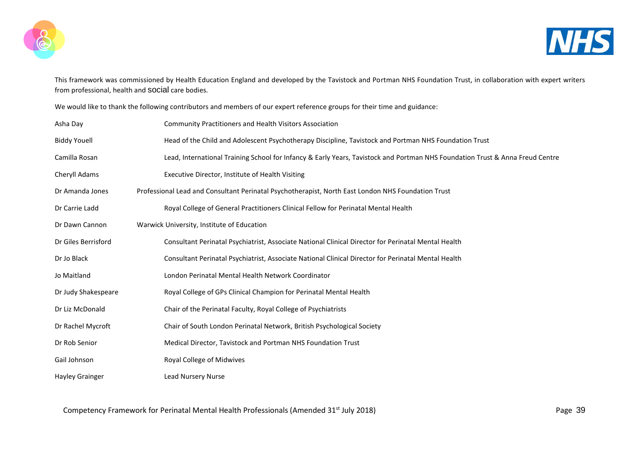



This framework was commissioned by Health Education England and developed by the Tavistock and Portman NHS Foundation Trust, in collaboration with expert writers from professional, health and social care bodies.

We would like to thank the following contributors and members of our expert reference groups for their time and guidance:

| Asha Day            | <b>Community Practitioners and Health Visitors Association</b>                                                                |
|---------------------|-------------------------------------------------------------------------------------------------------------------------------|
| <b>Biddy Youell</b> | Head of the Child and Adolescent Psychotherapy Discipline, Tavistock and Portman NHS Foundation Trust                         |
| Camilla Rosan       | Lead, International Training School for Infancy & Early Years, Tavistock and Portman NHS Foundation Trust & Anna Freud Centre |
| Cheryll Adams       | Executive Director, Institute of Health Visiting                                                                              |
| Dr Amanda Jones     | Professional Lead and Consultant Perinatal Psychotherapist, North East London NHS Foundation Trust                            |
| Dr Carrie Ladd      | Royal College of General Practitioners Clinical Fellow for Perinatal Mental Health                                            |
| Dr Dawn Cannon      | Warwick University, Institute of Education                                                                                    |
| Dr Giles Berrisford | Consultant Perinatal Psychiatrist, Associate National Clinical Director for Perinatal Mental Health                           |
| Dr Jo Black         | Consultant Perinatal Psychiatrist, Associate National Clinical Director for Perinatal Mental Health                           |
| Jo Maitland         | London Perinatal Mental Health Network Coordinator                                                                            |
| Dr Judy Shakespeare | Royal College of GPs Clinical Champion for Perinatal Mental Health                                                            |
| Dr Liz McDonald     | Chair of the Perinatal Faculty, Royal College of Psychiatrists                                                                |
| Dr Rachel Mycroft   | Chair of South London Perinatal Network, British Psychological Society                                                        |
| Dr Rob Senior       | Medical Director, Tavistock and Portman NHS Foundation Trust                                                                  |
| Gail Johnson        | Royal College of Midwives                                                                                                     |
| Hayley Grainger     | Lead Nursery Nurse                                                                                                            |

Competency Framework for Perinatal Mental Health Professionals (Amended 31<sup>st</sup> July 2018) Page 39 Page 39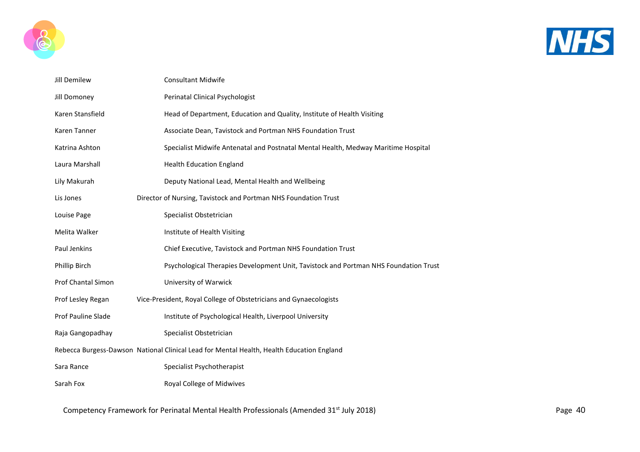



| <b>Jill Demilew</b>       | <b>Consultant Midwife</b>                                                                 |
|---------------------------|-------------------------------------------------------------------------------------------|
| Jill Domoney              | Perinatal Clinical Psychologist                                                           |
| Karen Stansfield          | Head of Department, Education and Quality, Institute of Health Visiting                   |
| Karen Tanner              | Associate Dean, Tavistock and Portman NHS Foundation Trust                                |
| Katrina Ashton            | Specialist Midwife Antenatal and Postnatal Mental Health, Medway Maritime Hospital        |
| Laura Marshall            | <b>Health Education England</b>                                                           |
| Lily Makurah              | Deputy National Lead, Mental Health and Wellbeing                                         |
| Lis Jones                 | Director of Nursing, Tavistock and Portman NHS Foundation Trust                           |
| Louise Page               | Specialist Obstetrician                                                                   |
| Melita Walker             | Institute of Health Visiting                                                              |
| Paul Jenkins              | Chief Executive, Tavistock and Portman NHS Foundation Trust                               |
| Phillip Birch             | Psychological Therapies Development Unit, Tavistock and Portman NHS Foundation Trust      |
| Prof Chantal Simon        | University of Warwick                                                                     |
| Prof Lesley Regan         | Vice-President, Royal College of Obstetricians and Gynaecologists                         |
| <b>Prof Pauline Slade</b> | Institute of Psychological Health, Liverpool University                                   |
| Raja Gangopadhay          | Specialist Obstetrician                                                                   |
|                           | Rebecca Burgess-Dawson National Clinical Lead for Mental Health, Health Education England |
| Sara Rance                | Specialist Psychotherapist                                                                |
| Sarah Fox                 | <b>Royal College of Midwives</b>                                                          |

Competency Framework for Perinatal Mental Health Professionals (Amended 31<sup>st</sup> July 2018) **Page 10** Page 40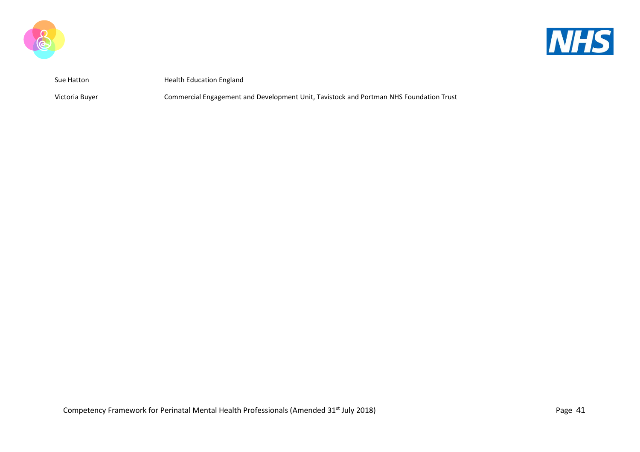



Sue Hatton **Health Education England** 

Victoria Buyer Commercial Engagement and Development Unit, Tavistock and Portman NHS Foundation Trust